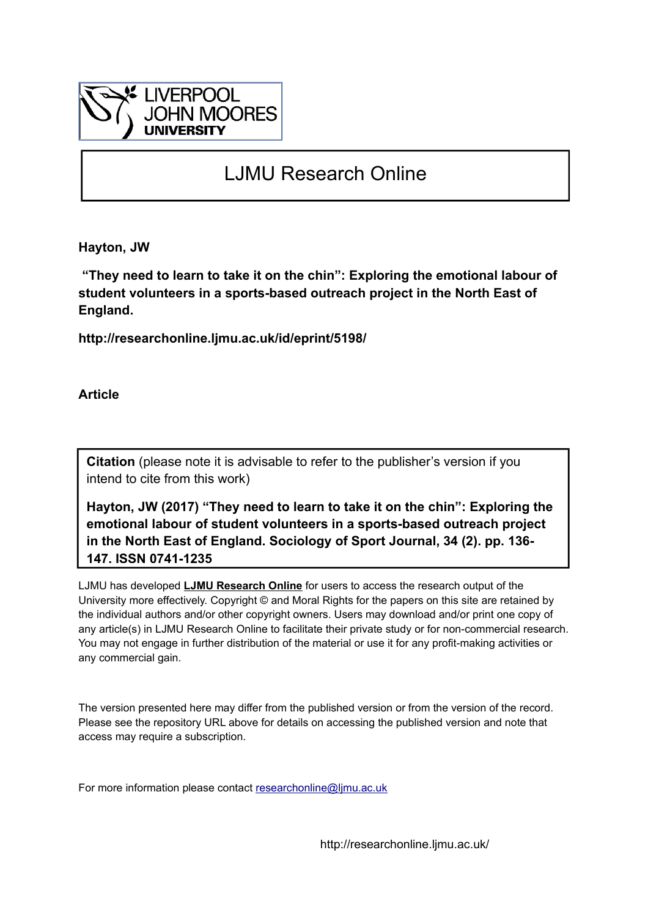

# LJMU Research Online

**Hayton, JW**

 **"They need to learn to take it on the chin": Exploring the emotional labour of student volunteers in a sports-based outreach project in the North East of England.**

**http://researchonline.ljmu.ac.uk/id/eprint/5198/**

**Article**

**Citation** (please note it is advisable to refer to the publisher's version if you intend to cite from this work)

**Hayton, JW (2017) "They need to learn to take it on the chin": Exploring the emotional labour of student volunteers in a sports-based outreach project in the North East of England. Sociology of Sport Journal, 34 (2). pp. 136- 147. ISSN 0741-1235** 

LJMU has developed **[LJMU Research Online](http://researchonline.ljmu.ac.uk/)** for users to access the research output of the University more effectively. Copyright © and Moral Rights for the papers on this site are retained by the individual authors and/or other copyright owners. Users may download and/or print one copy of any article(s) in LJMU Research Online to facilitate their private study or for non-commercial research. You may not engage in further distribution of the material or use it for any profit-making activities or any commercial gain.

The version presented here may differ from the published version or from the version of the record. Please see the repository URL above for details on accessing the published version and note that access may require a subscription.

For more information please contact researchonline@limu.ac.uk

http://researchonline.ljmu.ac.uk/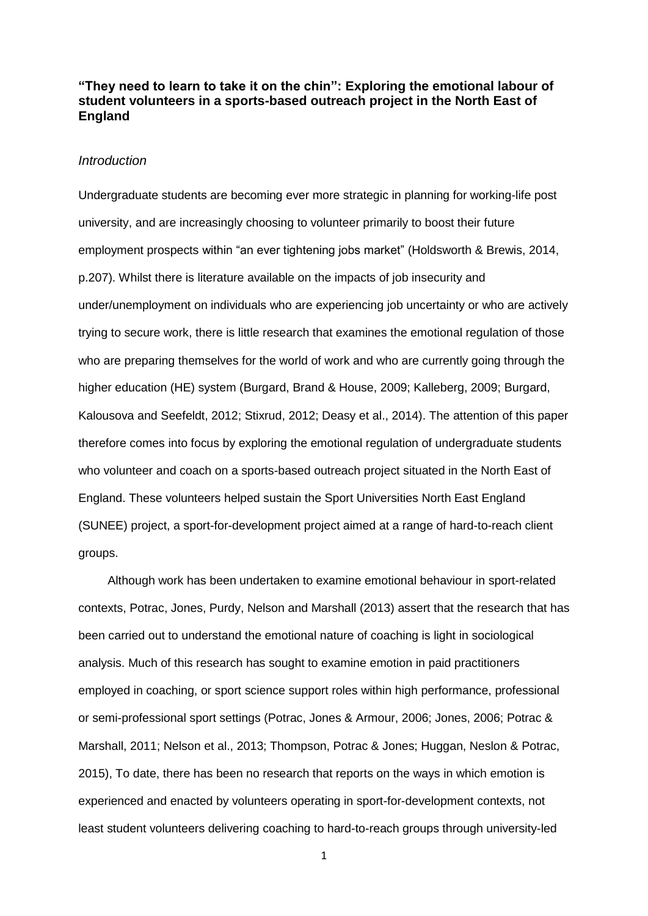# **"They need to learn to take it on the chin": Exploring the emotional labour of student volunteers in a sports-based outreach project in the North East of England**

# *Introduction*

Undergraduate students are becoming ever more strategic in planning for working-life post university, and are increasingly choosing to volunteer primarily to boost their future employment prospects within "an ever tightening jobs market" (Holdsworth & Brewis, 2014, p.207). Whilst there is literature available on the impacts of job insecurity and under/unemployment on individuals who are experiencing job uncertainty or who are actively trying to secure work, there is little research that examines the emotional regulation of those who are preparing themselves for the world of work and who are currently going through the higher education (HE) system (Burgard, Brand & House, 2009; Kalleberg, 2009; Burgard, Kalousova and Seefeldt, 2012; Stixrud, 2012; Deasy et al., 2014). The attention of this paper therefore comes into focus by exploring the emotional regulation of undergraduate students who volunteer and coach on a sports-based outreach project situated in the North East of England. These volunteers helped sustain the Sport Universities North East England (SUNEE) project, a sport-for-development project aimed at a range of hard-to-reach client groups.

Although work has been undertaken to examine emotional behaviour in sport-related contexts, Potrac, Jones, Purdy, Nelson and Marshall (2013) assert that the research that has been carried out to understand the emotional nature of coaching is light in sociological analysis. Much of this research has sought to examine emotion in paid practitioners employed in coaching, or sport science support roles within high performance, professional or semi-professional sport settings (Potrac, Jones & Armour, 2006; Jones, 2006; Potrac & Marshall, 2011; Nelson et al., 2013; Thompson, Potrac & Jones; Huggan, Neslon & Potrac, 2015), To date, there has been no research that reports on the ways in which emotion is experienced and enacted by volunteers operating in sport-for-development contexts, not least student volunteers delivering coaching to hard-to-reach groups through university-led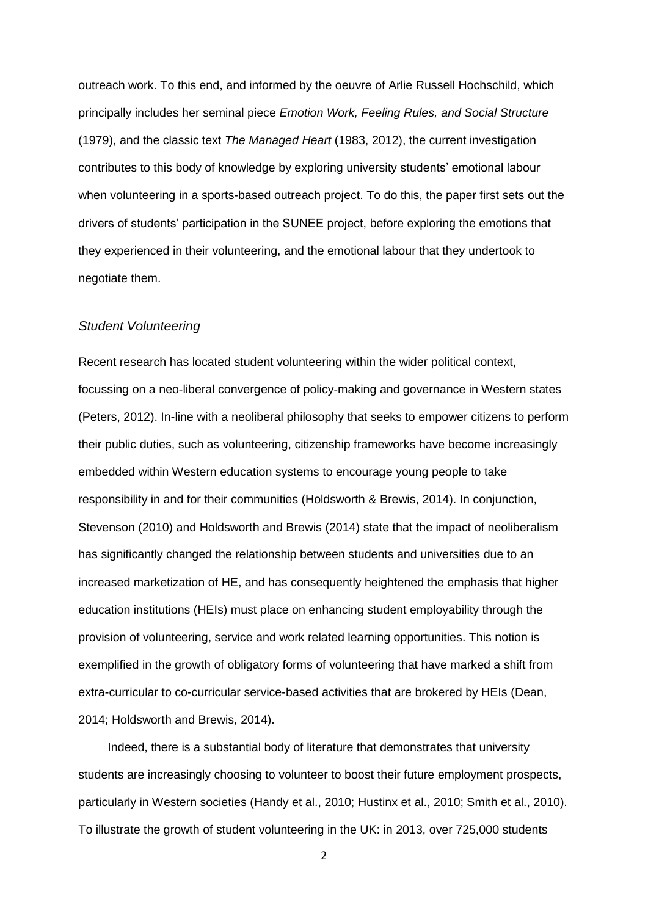outreach work. To this end, and informed by the oeuvre of Arlie Russell Hochschild, which principally includes her seminal piece *Emotion Work, Feeling Rules, and Social Structure* (1979), and the classic text *The Managed Heart* (1983, 2012), the current investigation contributes to this body of knowledge by exploring university students' emotional labour when volunteering in a sports-based outreach project. To do this, the paper first sets out the drivers of students' participation in the SUNEE project, before exploring the emotions that they experienced in their volunteering, and the emotional labour that they undertook to negotiate them.

#### *Student Volunteering*

Recent research has located student volunteering within the wider political context, focussing on a neo-liberal convergence of policy-making and governance in Western states (Peters, 2012). In-line with a neoliberal philosophy that seeks to empower citizens to perform their public duties, such as volunteering, citizenship frameworks have become increasingly embedded within Western education systems to encourage young people to take responsibility in and for their communities (Holdsworth & Brewis, 2014). In conjunction, Stevenson (2010) and Holdsworth and Brewis (2014) state that the impact of neoliberalism has significantly changed the relationship between students and universities due to an increased marketization of HE, and has consequently heightened the emphasis that higher education institutions (HEIs) must place on enhancing student employability through the provision of volunteering, service and work related learning opportunities. This notion is exemplified in the growth of obligatory forms of volunteering that have marked a shift from extra-curricular to co-curricular service-based activities that are brokered by HEIs (Dean, 2014; Holdsworth and Brewis, 2014).

Indeed, there is a substantial body of literature that demonstrates that university students are increasingly choosing to volunteer to boost their future employment prospects, particularly in Western societies (Handy et al., 2010; Hustinx et al., 2010; Smith et al., 2010). To illustrate the growth of student volunteering in the UK: in 2013, over 725,000 students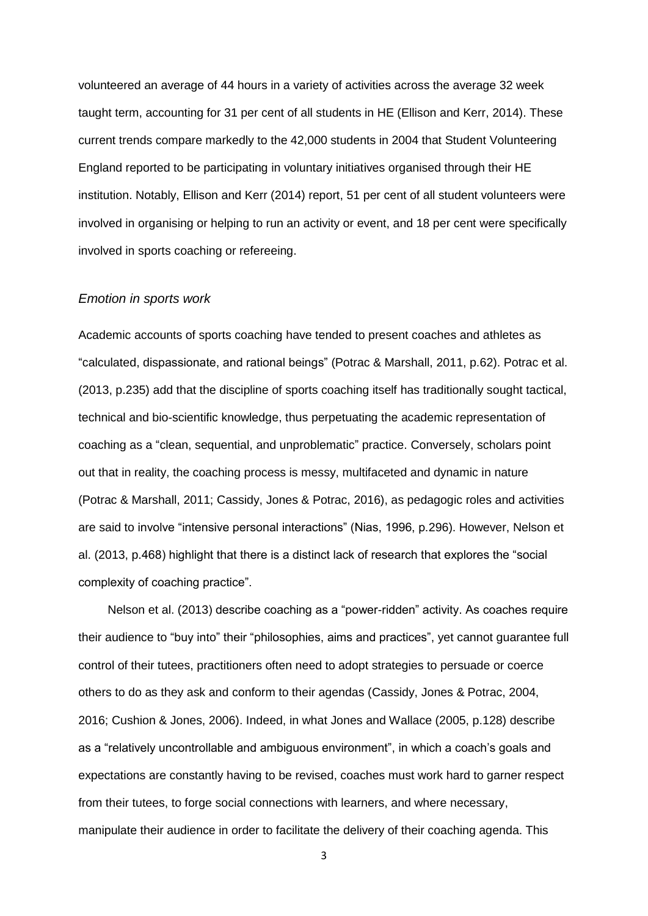volunteered an average of 44 hours in a variety of activities across the average 32 week taught term, accounting for 31 per cent of all students in HE (Ellison and Kerr, 2014). These current trends compare markedly to the 42,000 students in 2004 that Student Volunteering England reported to be participating in voluntary initiatives organised through their HE institution. Notably, Ellison and Kerr (2014) report, 51 per cent of all student volunteers were involved in organising or helping to run an activity or event, and 18 per cent were specifically involved in sports coaching or refereeing.

#### *Emotion in sports work*

Academic accounts of sports coaching have tended to present coaches and athletes as "calculated, dispassionate, and rational beings" (Potrac & Marshall, 2011, p.62). Potrac et al. (2013, p.235) add that the discipline of sports coaching itself has traditionally sought tactical, technical and bio-scientific knowledge, thus perpetuating the academic representation of coaching as a "clean, sequential, and unproblematic" practice. Conversely, scholars point out that in reality, the coaching process is messy, multifaceted and dynamic in nature (Potrac & Marshall, 2011; Cassidy, Jones & Potrac, 2016), as pedagogic roles and activities are said to involve "intensive personal interactions" (Nias, 1996, p.296). However, Nelson et al. (2013, p.468) highlight that there is a distinct lack of research that explores the "social complexity of coaching practice".

Nelson et al. (2013) describe coaching as a "power-ridden" activity. As coaches require their audience to "buy into" their "philosophies, aims and practices", yet cannot guarantee full control of their tutees, practitioners often need to adopt strategies to persuade or coerce others to do as they ask and conform to their agendas (Cassidy, Jones & Potrac, 2004, 2016; Cushion & Jones, 2006). Indeed, in what Jones and Wallace (2005, p.128) describe as a "relatively uncontrollable and ambiguous environment", in which a coach's goals and expectations are constantly having to be revised, coaches must work hard to garner respect from their tutees, to forge social connections with learners, and where necessary, manipulate their audience in order to facilitate the delivery of their coaching agenda. This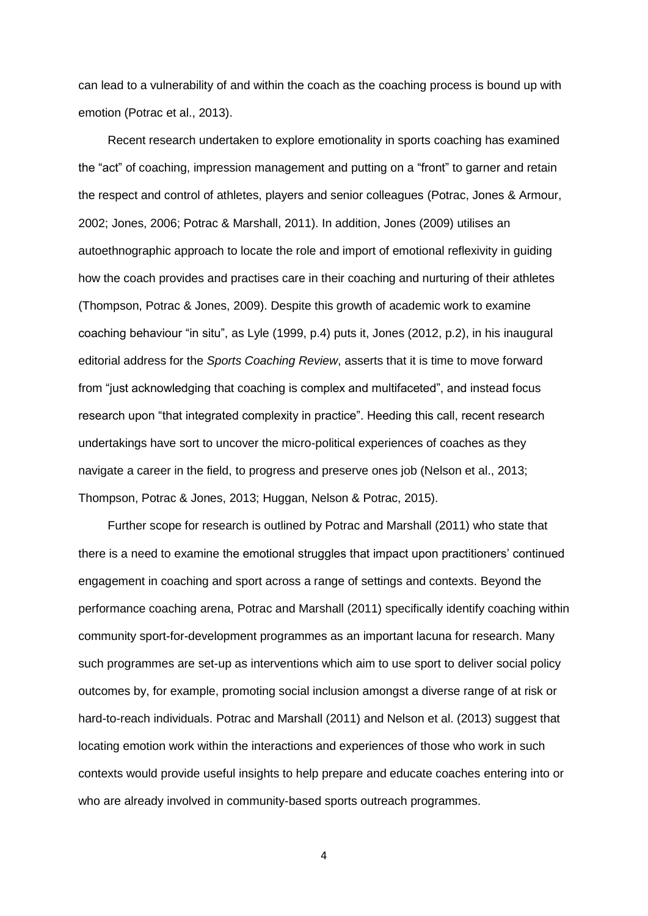can lead to a vulnerability of and within the coach as the coaching process is bound up with emotion (Potrac et al., 2013).

Recent research undertaken to explore emotionality in sports coaching has examined the "act" of coaching, impression management and putting on a "front" to garner and retain the respect and control of athletes, players and senior colleagues (Potrac, Jones & Armour, 2002; Jones, 2006; Potrac & Marshall, 2011). In addition, Jones (2009) utilises an autoethnographic approach to locate the role and import of emotional reflexivity in guiding how the coach provides and practises care in their coaching and nurturing of their athletes (Thompson, Potrac & Jones, 2009). Despite this growth of academic work to examine coaching behaviour "in situ", as Lyle (1999, p.4) puts it, Jones (2012, p.2), in his inaugural editorial address for the *Sports Coaching Review*, asserts that it is time to move forward from "just acknowledging that coaching is complex and multifaceted", and instead focus research upon "that integrated complexity in practice". Heeding this call, recent research undertakings have sort to uncover the micro-political experiences of coaches as they navigate a career in the field, to progress and preserve ones job (Nelson et al., 2013; Thompson, Potrac & Jones, 2013; Huggan, Nelson & Potrac, 2015).

Further scope for research is outlined by Potrac and Marshall (2011) who state that there is a need to examine the emotional struggles that impact upon practitioners' continued engagement in coaching and sport across a range of settings and contexts. Beyond the performance coaching arena, Potrac and Marshall (2011) specifically identify coaching within community sport-for-development programmes as an important lacuna for research. Many such programmes are set-up as interventions which aim to use sport to deliver social policy outcomes by, for example, promoting social inclusion amongst a diverse range of at risk or hard-to-reach individuals. Potrac and Marshall (2011) and Nelson et al. (2013) suggest that locating emotion work within the interactions and experiences of those who work in such contexts would provide useful insights to help prepare and educate coaches entering into or who are already involved in community-based sports outreach programmes.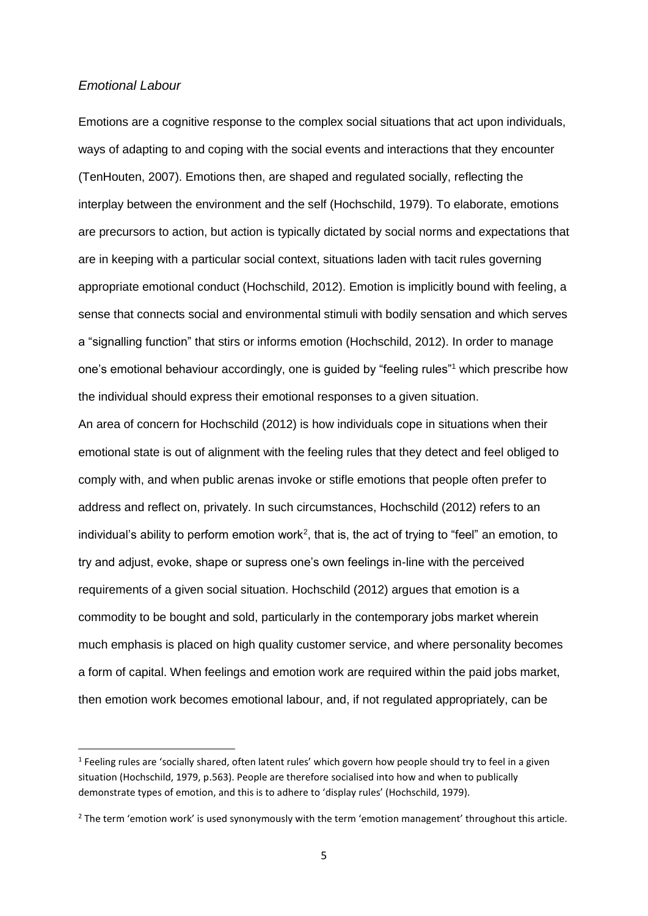#### *Emotional Labour*

 $\overline{a}$ 

Emotions are a cognitive response to the complex social situations that act upon individuals, ways of adapting to and coping with the social events and interactions that they encounter (TenHouten, 2007). Emotions then, are shaped and regulated socially, reflecting the interplay between the environment and the self (Hochschild, 1979). To elaborate, emotions are precursors to action, but action is typically dictated by social norms and expectations that are in keeping with a particular social context, situations laden with tacit rules governing appropriate emotional conduct (Hochschild, 2012). Emotion is implicitly bound with feeling, a sense that connects social and environmental stimuli with bodily sensation and which serves a "signalling function" that stirs or informs emotion (Hochschild, 2012). In order to manage one's emotional behaviour accordingly, one is guided by "feeling rules"<sup>1</sup> which prescribe how the individual should express their emotional responses to a given situation.

An area of concern for Hochschild (2012) is how individuals cope in situations when their emotional state is out of alignment with the feeling rules that they detect and feel obliged to comply with, and when public arenas invoke or stifle emotions that people often prefer to address and reflect on, privately. In such circumstances, Hochschild (2012) refers to an individual's ability to perform emotion work<sup>2</sup>, that is, the act of trying to "feel" an emotion, to try and adjust, evoke, shape or supress one's own feelings in-line with the perceived requirements of a given social situation. Hochschild (2012) argues that emotion is a commodity to be bought and sold, particularly in the contemporary jobs market wherein much emphasis is placed on high quality customer service, and where personality becomes a form of capital. When feelings and emotion work are required within the paid jobs market, then emotion work becomes emotional labour, and, if not regulated appropriately, can be

<sup>&</sup>lt;sup>1</sup> Feeling rules are 'socially shared, often latent rules' which govern how people should try to feel in a given situation (Hochschild, 1979, p.563). People are therefore socialised into how and when to publically demonstrate types of emotion, and this is to adhere to 'display rules' (Hochschild, 1979).

 $<sup>2</sup>$  The term 'emotion work' is used synonymously with the term 'emotion management' throughout this article.</sup>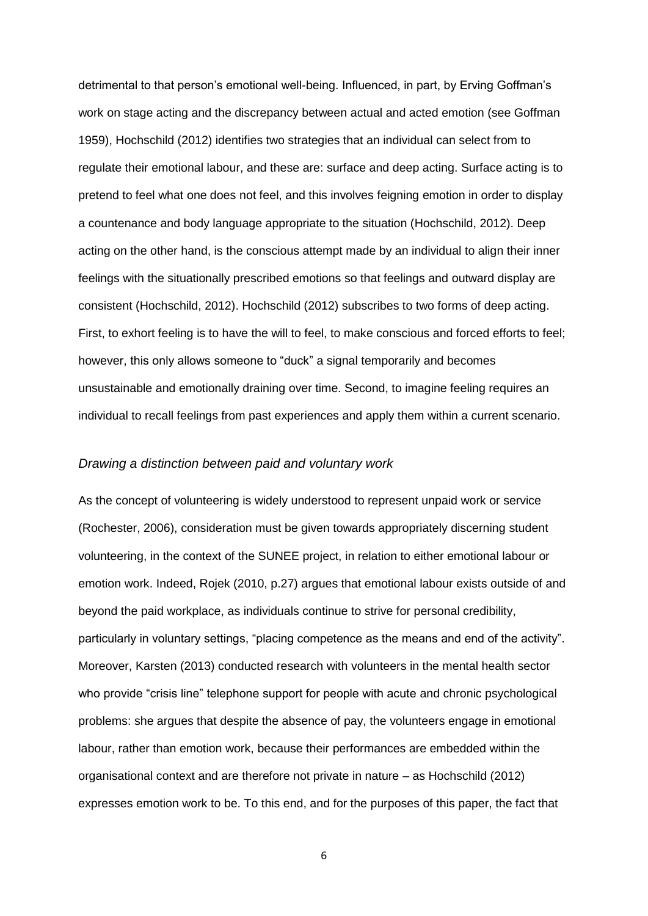detrimental to that person's emotional well-being. Influenced, in part, by Erving Goffman's work on stage acting and the discrepancy between actual and acted emotion (see Goffman 1959), Hochschild (2012) identifies two strategies that an individual can select from to regulate their emotional labour, and these are: surface and deep acting. Surface acting is to pretend to feel what one does not feel, and this involves feigning emotion in order to display a countenance and body language appropriate to the situation (Hochschild, 2012). Deep acting on the other hand, is the conscious attempt made by an individual to align their inner feelings with the situationally prescribed emotions so that feelings and outward display are consistent (Hochschild, 2012). Hochschild (2012) subscribes to two forms of deep acting. First, to exhort feeling is to have the will to feel, to make conscious and forced efforts to feel; however, this only allows someone to "duck" a signal temporarily and becomes unsustainable and emotionally draining over time. Second, to imagine feeling requires an individual to recall feelings from past experiences and apply them within a current scenario.

#### *Drawing a distinction between paid and voluntary work*

As the concept of volunteering is widely understood to represent unpaid work or service (Rochester, 2006), consideration must be given towards appropriately discerning student volunteering, in the context of the SUNEE project, in relation to either emotional labour or emotion work. Indeed, Rojek (2010, p.27) argues that emotional labour exists outside of and beyond the paid workplace, as individuals continue to strive for personal credibility, particularly in voluntary settings, "placing competence as the means and end of the activity". Moreover, Karsten (2013) conducted research with volunteers in the mental health sector who provide "crisis line" telephone support for people with acute and chronic psychological problems: she argues that despite the absence of pay, the volunteers engage in emotional labour, rather than emotion work, because their performances are embedded within the organisational context and are therefore not private in nature – as Hochschild (2012) expresses emotion work to be. To this end, and for the purposes of this paper, the fact that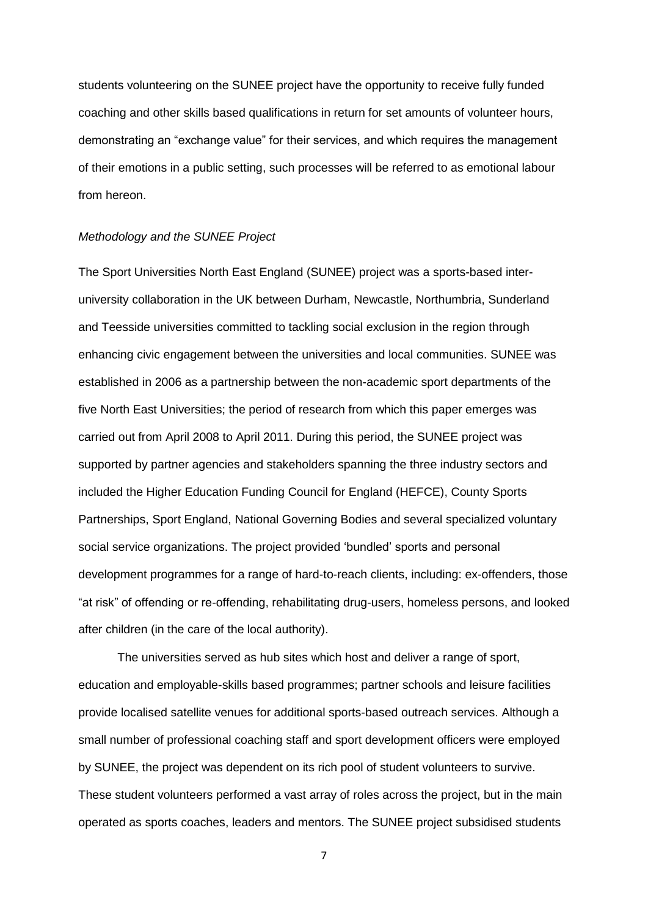students volunteering on the SUNEE project have the opportunity to receive fully funded coaching and other skills based qualifications in return for set amounts of volunteer hours, demonstrating an "exchange value" for their services, and which requires the management of their emotions in a public setting, such processes will be referred to as emotional labour from hereon.

#### *Methodology and the SUNEE Project*

The Sport Universities North East England (SUNEE) project was a sports-based interuniversity collaboration in the UK between Durham, Newcastle, Northumbria, Sunderland and Teesside universities committed to tackling social exclusion in the region through enhancing civic engagement between the universities and local communities. SUNEE was established in 2006 as a partnership between the non-academic sport departments of the five North East Universities; the period of research from which this paper emerges was carried out from April 2008 to April 2011. During this period, the SUNEE project was supported by partner agencies and stakeholders spanning the three industry sectors and included the Higher Education Funding Council for England (HEFCE), County Sports Partnerships, Sport England, National Governing Bodies and several specialized voluntary social service organizations. The project provided 'bundled' sports and personal development programmes for a range of hard-to-reach clients, including: ex-offenders, those "at risk" of offending or re-offending, rehabilitating drug-users, homeless persons, and looked after children (in the care of the local authority).

The universities served as hub sites which host and deliver a range of sport, education and employable-skills based programmes; partner schools and leisure facilities provide localised satellite venues for additional sports-based outreach services. Although a small number of professional coaching staff and sport development officers were employed by SUNEE, the project was dependent on its rich pool of student volunteers to survive. These student volunteers performed a vast array of roles across the project, but in the main operated as sports coaches, leaders and mentors. The SUNEE project subsidised students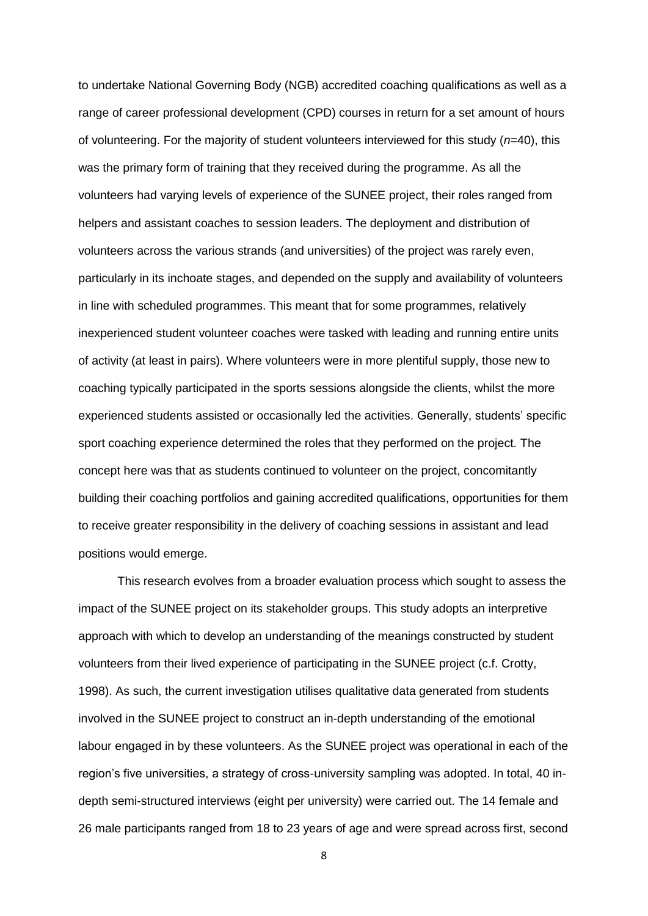to undertake National Governing Body (NGB) accredited coaching qualifications as well as a range of career professional development (CPD) courses in return for a set amount of hours of volunteering. For the majority of student volunteers interviewed for this study (*n*=40), this was the primary form of training that they received during the programme. As all the volunteers had varying levels of experience of the SUNEE project, their roles ranged from helpers and assistant coaches to session leaders. The deployment and distribution of volunteers across the various strands (and universities) of the project was rarely even, particularly in its inchoate stages, and depended on the supply and availability of volunteers in line with scheduled programmes. This meant that for some programmes, relatively inexperienced student volunteer coaches were tasked with leading and running entire units of activity (at least in pairs). Where volunteers were in more plentiful supply, those new to coaching typically participated in the sports sessions alongside the clients, whilst the more experienced students assisted or occasionally led the activities. Generally, students' specific sport coaching experience determined the roles that they performed on the project. The concept here was that as students continued to volunteer on the project, concomitantly building their coaching portfolios and gaining accredited qualifications, opportunities for them to receive greater responsibility in the delivery of coaching sessions in assistant and lead positions would emerge.

This research evolves from a broader evaluation process which sought to assess the impact of the SUNEE project on its stakeholder groups. This study adopts an interpretive approach with which to develop an understanding of the meanings constructed by student volunteers from their lived experience of participating in the SUNEE project (c.f. Crotty, 1998). As such, the current investigation utilises qualitative data generated from students involved in the SUNEE project to construct an in-depth understanding of the emotional labour engaged in by these volunteers. As the SUNEE project was operational in each of the region's five universities, a strategy of cross-university sampling was adopted. In total, 40 indepth semi-structured interviews (eight per university) were carried out. The 14 female and 26 male participants ranged from 18 to 23 years of age and were spread across first, second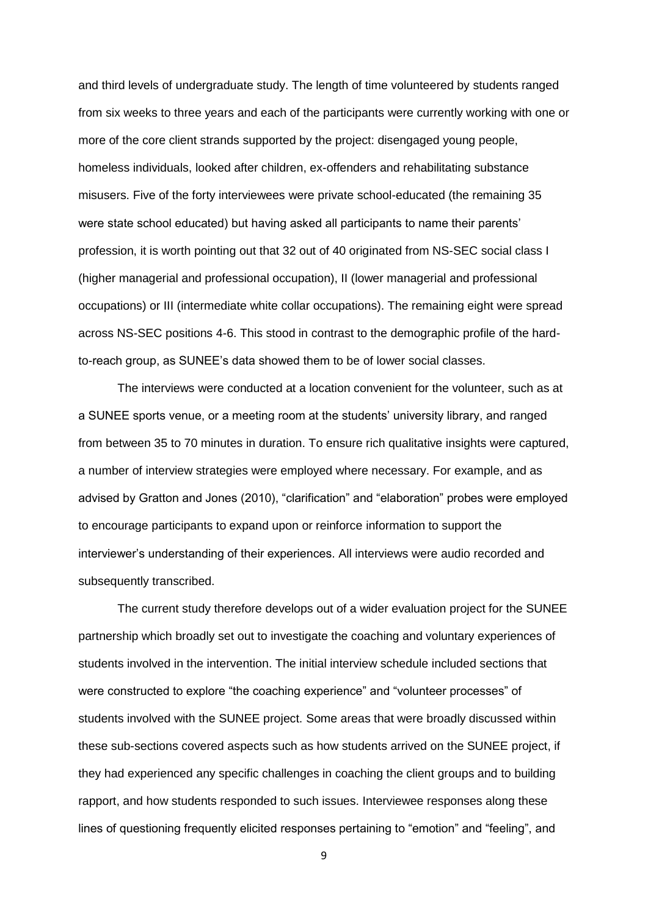and third levels of undergraduate study. The length of time volunteered by students ranged from six weeks to three years and each of the participants were currently working with one or more of the core client strands supported by the project: disengaged young people, homeless individuals, looked after children, ex-offenders and rehabilitating substance misusers. Five of the forty interviewees were private school-educated (the remaining 35 were state school educated) but having asked all participants to name their parents' profession, it is worth pointing out that 32 out of 40 originated from NS-SEC social class I (higher managerial and professional occupation), II (lower managerial and professional occupations) or III (intermediate white collar occupations). The remaining eight were spread across NS-SEC positions 4-6. This stood in contrast to the demographic profile of the hardto-reach group, as SUNEE's data showed them to be of lower social classes.

The interviews were conducted at a location convenient for the volunteer, such as at a SUNEE sports venue, or a meeting room at the students' university library, and ranged from between 35 to 70 minutes in duration. To ensure rich qualitative insights were captured, a number of interview strategies were employed where necessary. For example, and as advised by Gratton and Jones (2010), "clarification" and "elaboration" probes were employed to encourage participants to expand upon or reinforce information to support the interviewer's understanding of their experiences. All interviews were audio recorded and subsequently transcribed.

The current study therefore develops out of a wider evaluation project for the SUNEE partnership which broadly set out to investigate the coaching and voluntary experiences of students involved in the intervention. The initial interview schedule included sections that were constructed to explore "the coaching experience" and "volunteer processes" of students involved with the SUNEE project. Some areas that were broadly discussed within these sub-sections covered aspects such as how students arrived on the SUNEE project, if they had experienced any specific challenges in coaching the client groups and to building rapport, and how students responded to such issues. Interviewee responses along these lines of questioning frequently elicited responses pertaining to "emotion" and "feeling", and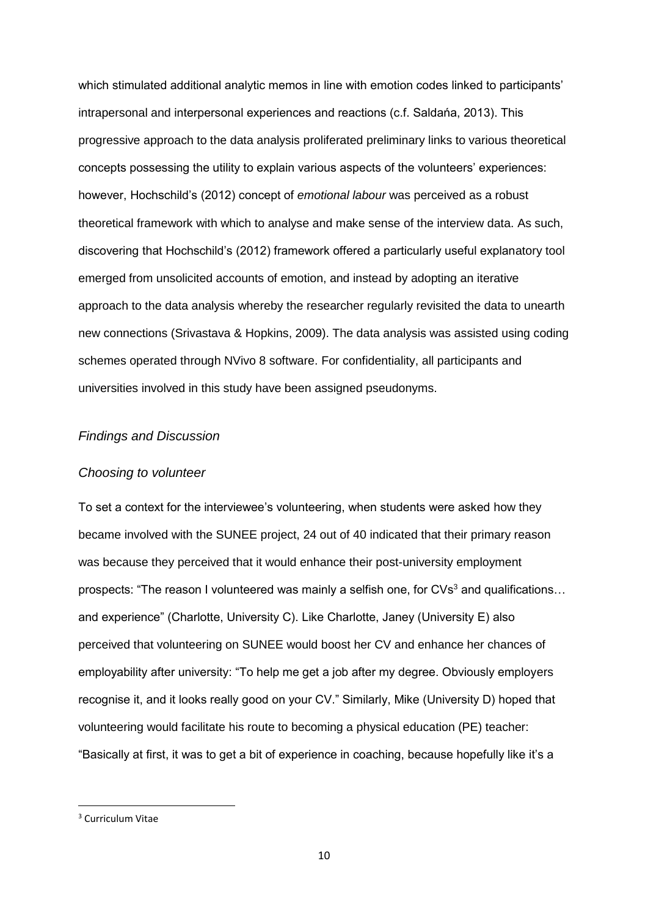which stimulated additional analytic memos in line with emotion codes linked to participants' intrapersonal and interpersonal experiences and reactions (c.f. Saldańa, 2013). This progressive approach to the data analysis proliferated preliminary links to various theoretical concepts possessing the utility to explain various aspects of the volunteers' experiences: however, Hochschild's (2012) concept of *emotional labour* was perceived as a robust theoretical framework with which to analyse and make sense of the interview data. As such, discovering that Hochschild's (2012) framework offered a particularly useful explanatory tool emerged from unsolicited accounts of emotion, and instead by adopting an iterative approach to the data analysis whereby the researcher regularly revisited the data to unearth new connections (Srivastava & Hopkins, 2009). The data analysis was assisted using coding schemes operated through NVivo 8 software. For confidentiality, all participants and universities involved in this study have been assigned pseudonyms.

#### *Findings and Discussion*

#### *Choosing to volunteer*

To set a context for the interviewee's volunteering, when students were asked how they became involved with the SUNEE project, 24 out of 40 indicated that their primary reason was because they perceived that it would enhance their post-university employment prospects: "The reason I volunteered was mainly a selfish one, for CVs<sup>3</sup> and qualifications... and experience" (Charlotte, University C). Like Charlotte, Janey (University E) also perceived that volunteering on SUNEE would boost her CV and enhance her chances of employability after university: "To help me get a job after my degree. Obviously employers recognise it, and it looks really good on your CV." Similarly, Mike (University D) hoped that volunteering would facilitate his route to becoming a physical education (PE) teacher: "Basically at first, it was to get a bit of experience in coaching, because hopefully like it's a

**.** 

<sup>3</sup> Curriculum Vitae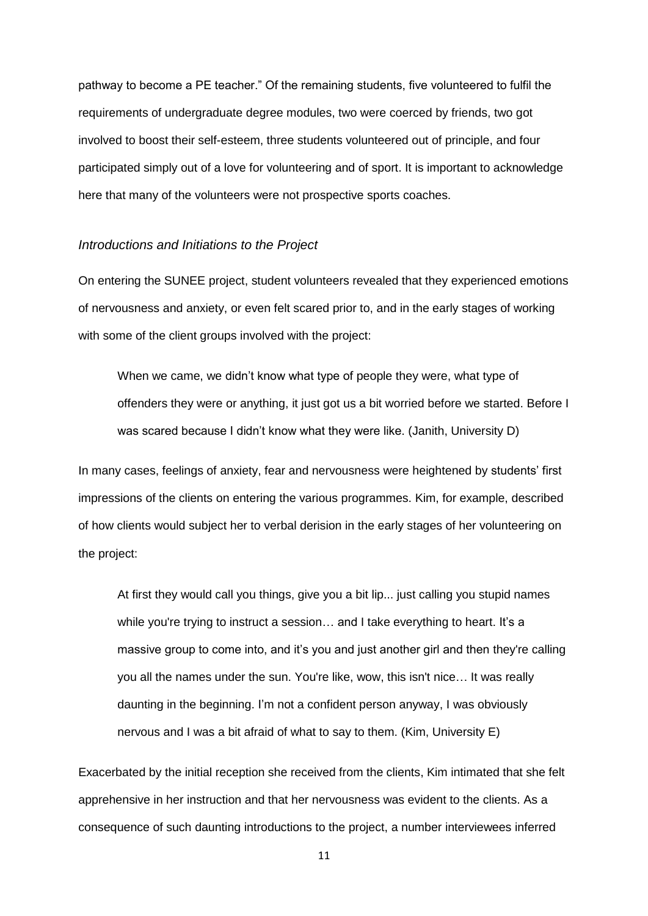pathway to become a PE teacher." Of the remaining students, five volunteered to fulfil the requirements of undergraduate degree modules, two were coerced by friends, two got involved to boost their self-esteem, three students volunteered out of principle, and four participated simply out of a love for volunteering and of sport. It is important to acknowledge here that many of the volunteers were not prospective sports coaches.

## *Introductions and Initiations to the Project*

On entering the SUNEE project, student volunteers revealed that they experienced emotions of nervousness and anxiety, or even felt scared prior to, and in the early stages of working with some of the client groups involved with the project:

When we came, we didn't know what type of people they were, what type of offenders they were or anything, it just got us a bit worried before we started. Before I was scared because I didn't know what they were like. (Janith, University D)

In many cases, feelings of anxiety, fear and nervousness were heightened by students' first impressions of the clients on entering the various programmes. Kim, for example, described of how clients would subject her to verbal derision in the early stages of her volunteering on the project:

At first they would call you things, give you a bit lip... just calling you stupid names while you're trying to instruct a session... and I take everything to heart. It's a massive group to come into, and it's you and just another girl and then they're calling you all the names under the sun. You're like, wow, this isn't nice... It was really daunting in the beginning. I'm not a confident person anyway, I was obviously nervous and I was a bit afraid of what to say to them. (Kim, University E)

Exacerbated by the initial reception she received from the clients, Kim intimated that she felt apprehensive in her instruction and that her nervousness was evident to the clients. As a consequence of such daunting introductions to the project, a number interviewees inferred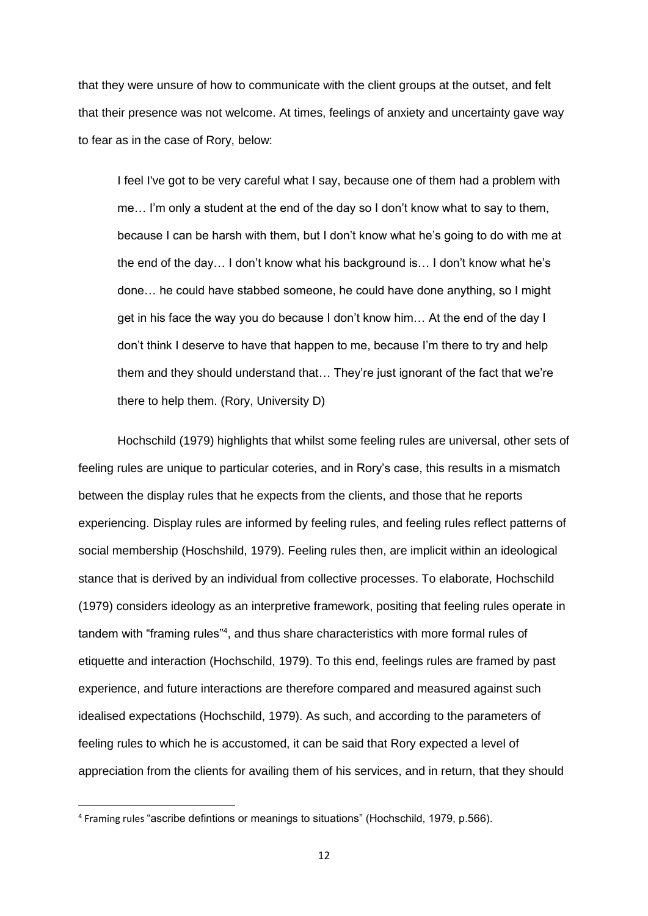that they were unsure of how to communicate with the client groups at the outset, and felt that their presence was not welcome. At times, feelings of anxiety and uncertainty gave way to fear as in the case of Rory, below:

I feel I've got to be very careful what I say, because one of them had a problem with me… I'm only a student at the end of the day so I don't know what to say to them, because I can be harsh with them, but I don't know what he's going to do with me at the end of the day… I don't know what his background is… I don't know what he's done… he could have stabbed someone, he could have done anything, so I might get in his face the way you do because I don't know him… At the end of the day I don't think I deserve to have that happen to me, because I'm there to try and help them and they should understand that… They're just ignorant of the fact that we're there to help them. (Rory, University D)

Hochschild (1979) highlights that whilst some feeling rules are universal, other sets of feeling rules are unique to particular coteries, and in Rory's case, this results in a mismatch between the display rules that he expects from the clients, and those that he reports experiencing. Display rules are informed by feeling rules, and feeling rules reflect patterns of social membership (Hoschshild, 1979). Feeling rules then, are implicit within an ideological stance that is derived by an individual from collective processes. To elaborate, Hochschild (1979) considers ideology as an interpretive framework, positing that feeling rules operate in tandem with "framing rules"<sup>4</sup>, and thus share characteristics with more formal rules of etiquette and interaction (Hochschild, 1979). To this end, feelings rules are framed by past experience, and future interactions are therefore compared and measured against such idealised expectations (Hochschild, 1979). As such, and according to the parameters of feeling rules to which he is accustomed, it can be said that Rory expected a level of appreciation from the clients for availing them of his services, and in return, that they should

**.** 

<sup>4</sup> Framing rules "ascribe defintions or meanings to situations" (Hochschild, 1979, p.566).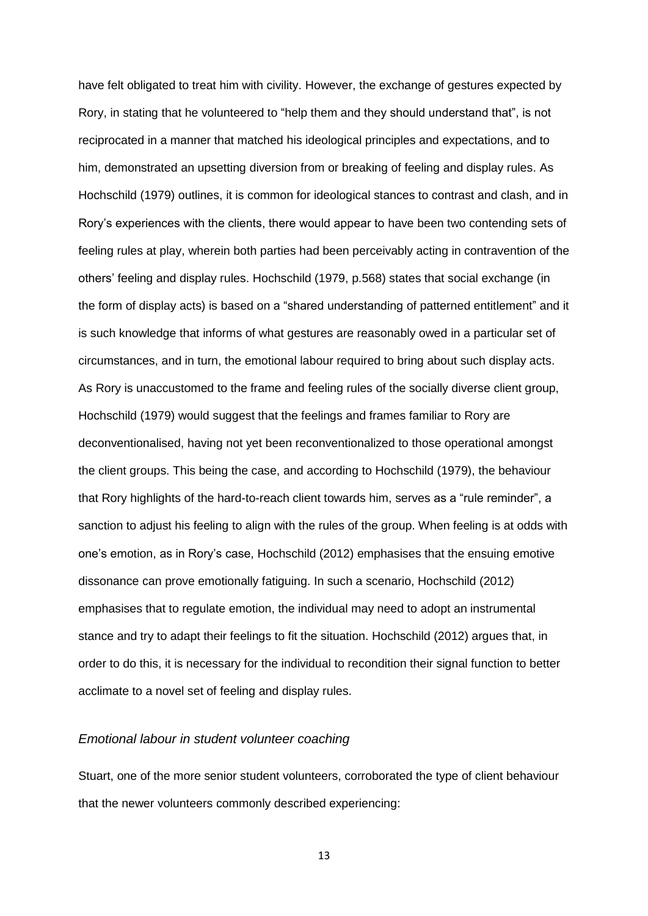have felt obligated to treat him with civility. However, the exchange of gestures expected by Rory, in stating that he volunteered to "help them and they should understand that", is not reciprocated in a manner that matched his ideological principles and expectations, and to him, demonstrated an upsetting diversion from or breaking of feeling and display rules. As Hochschild (1979) outlines, it is common for ideological stances to contrast and clash, and in Rory's experiences with the clients, there would appear to have been two contending sets of feeling rules at play, wherein both parties had been perceivably acting in contravention of the others' feeling and display rules. Hochschild (1979, p.568) states that social exchange (in the form of display acts) is based on a "shared understanding of patterned entitlement" and it is such knowledge that informs of what gestures are reasonably owed in a particular set of circumstances, and in turn, the emotional labour required to bring about such display acts. As Rory is unaccustomed to the frame and feeling rules of the socially diverse client group, Hochschild (1979) would suggest that the feelings and frames familiar to Rory are deconventionalised, having not yet been reconventionalized to those operational amongst the client groups. This being the case, and according to Hochschild (1979), the behaviour that Rory highlights of the hard-to-reach client towards him, serves as a "rule reminder", a sanction to adjust his feeling to align with the rules of the group. When feeling is at odds with one's emotion, as in Rory's case, Hochschild (2012) emphasises that the ensuing emotive dissonance can prove emotionally fatiguing. In such a scenario, Hochschild (2012) emphasises that to regulate emotion, the individual may need to adopt an instrumental stance and try to adapt their feelings to fit the situation. Hochschild (2012) argues that, in order to do this, it is necessary for the individual to recondition their signal function to better acclimate to a novel set of feeling and display rules.

## *Emotional labour in student volunteer coaching*

Stuart, one of the more senior student volunteers, corroborated the type of client behaviour that the newer volunteers commonly described experiencing: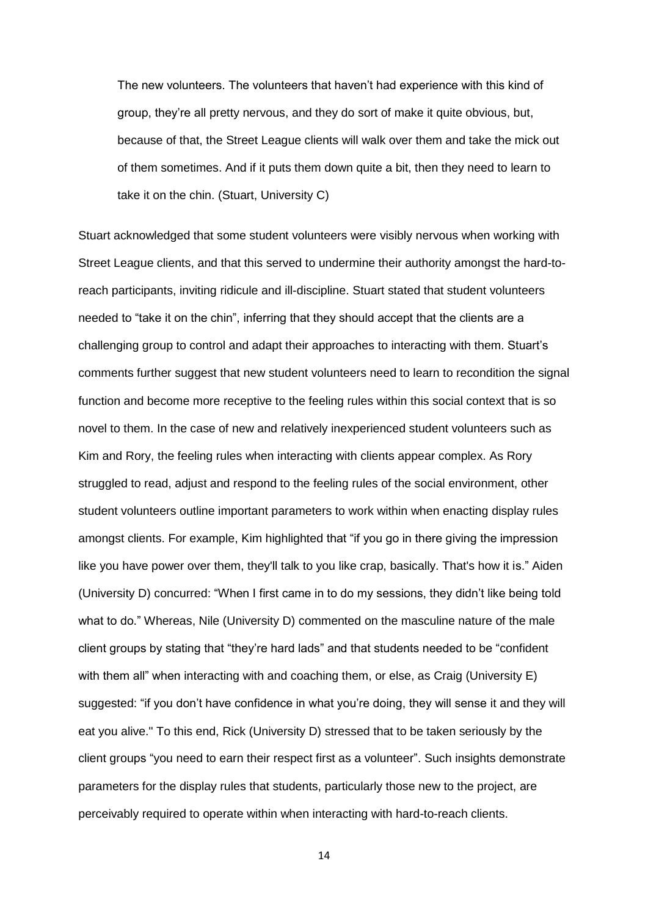The new volunteers. The volunteers that haven't had experience with this kind of group, they're all pretty nervous, and they do sort of make it quite obvious, but, because of that, the Street League clients will walk over them and take the mick out of them sometimes. And if it puts them down quite a bit, then they need to learn to take it on the chin. (Stuart, University C)

Stuart acknowledged that some student volunteers were visibly nervous when working with Street League clients, and that this served to undermine their authority amongst the hard-toreach participants, inviting ridicule and ill-discipline. Stuart stated that student volunteers needed to "take it on the chin", inferring that they should accept that the clients are a challenging group to control and adapt their approaches to interacting with them. Stuart's comments further suggest that new student volunteers need to learn to recondition the signal function and become more receptive to the feeling rules within this social context that is so novel to them. In the case of new and relatively inexperienced student volunteers such as Kim and Rory, the feeling rules when interacting with clients appear complex. As Rory struggled to read, adjust and respond to the feeling rules of the social environment, other student volunteers outline important parameters to work within when enacting display rules amongst clients. For example, Kim highlighted that "if you go in there giving the impression like you have power over them, they'll talk to you like crap, basically. That's how it is." Aiden (University D) concurred: "When I first came in to do my sessions, they didn't like being told what to do." Whereas, Nile (University D) commented on the masculine nature of the male client groups by stating that "they're hard lads" and that students needed to be "confident with them all" when interacting with and coaching them, or else, as Craig (University E) suggested: "if you don't have confidence in what you're doing, they will sense it and they will eat you alive." To this end, Rick (University D) stressed that to be taken seriously by the client groups "you need to earn their respect first as a volunteer". Such insights demonstrate parameters for the display rules that students, particularly those new to the project, are perceivably required to operate within when interacting with hard-to-reach clients.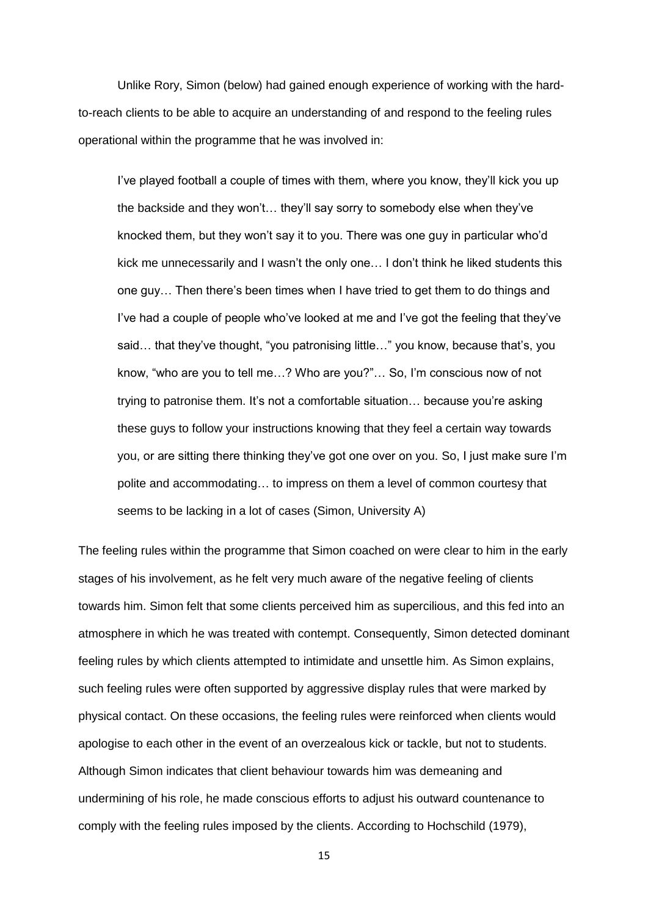Unlike Rory, Simon (below) had gained enough experience of working with the hardto-reach clients to be able to acquire an understanding of and respond to the feeling rules operational within the programme that he was involved in:

I've played football a couple of times with them, where you know, they'll kick you up the backside and they won't… they'll say sorry to somebody else when they've knocked them, but they won't say it to you. There was one guy in particular who'd kick me unnecessarily and I wasn't the only one… I don't think he liked students this one guy… Then there's been times when I have tried to get them to do things and I've had a couple of people who've looked at me and I've got the feeling that they've said… that they've thought, "you patronising little…" you know, because that's, you know, "who are you to tell me…? Who are you?"… So, I'm conscious now of not trying to patronise them. It's not a comfortable situation… because you're asking these guys to follow your instructions knowing that they feel a certain way towards you, or are sitting there thinking they've got one over on you. So, I just make sure I'm polite and accommodating… to impress on them a level of common courtesy that seems to be lacking in a lot of cases (Simon, University A)

The feeling rules within the programme that Simon coached on were clear to him in the early stages of his involvement, as he felt very much aware of the negative feeling of clients towards him. Simon felt that some clients perceived him as supercilious, and this fed into an atmosphere in which he was treated with contempt. Consequently, Simon detected dominant feeling rules by which clients attempted to intimidate and unsettle him. As Simon explains, such feeling rules were often supported by aggressive display rules that were marked by physical contact. On these occasions, the feeling rules were reinforced when clients would apologise to each other in the event of an overzealous kick or tackle, but not to students. Although Simon indicates that client behaviour towards him was demeaning and undermining of his role, he made conscious efforts to adjust his outward countenance to comply with the feeling rules imposed by the clients. According to Hochschild (1979),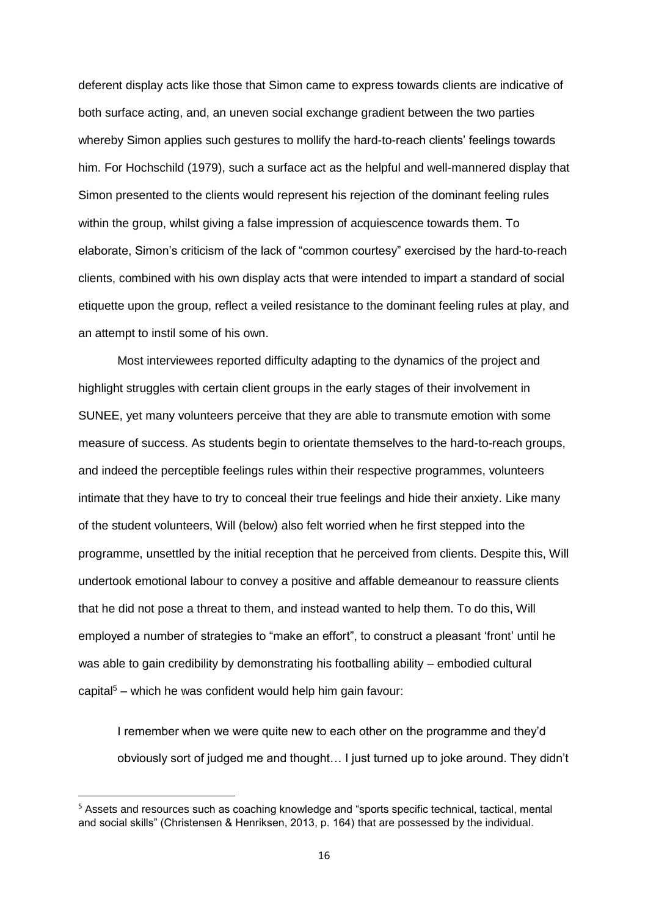deferent display acts like those that Simon came to express towards clients are indicative of both surface acting, and, an uneven social exchange gradient between the two parties whereby Simon applies such gestures to mollify the hard-to-reach clients' feelings towards him. For Hochschild (1979), such a surface act as the helpful and well-mannered display that Simon presented to the clients would represent his rejection of the dominant feeling rules within the group, whilst giving a false impression of acquiescence towards them. To elaborate, Simon's criticism of the lack of "common courtesy" exercised by the hard-to-reach clients, combined with his own display acts that were intended to impart a standard of social etiquette upon the group, reflect a veiled resistance to the dominant feeling rules at play, and an attempt to instil some of his own.

Most interviewees reported difficulty adapting to the dynamics of the project and highlight struggles with certain client groups in the early stages of their involvement in SUNEE, yet many volunteers perceive that they are able to transmute emotion with some measure of success. As students begin to orientate themselves to the hard-to-reach groups, and indeed the perceptible feelings rules within their respective programmes, volunteers intimate that they have to try to conceal their true feelings and hide their anxiety. Like many of the student volunteers, Will (below) also felt worried when he first stepped into the programme, unsettled by the initial reception that he perceived from clients. Despite this, Will undertook emotional labour to convey a positive and affable demeanour to reassure clients that he did not pose a threat to them, and instead wanted to help them. To do this, Will employed a number of strategies to "make an effort", to construct a pleasant 'front' until he was able to gain credibility by demonstrating his footballing ability – embodied cultural capital<sup>5</sup> – which he was confident would help him gain favour:

I remember when we were quite new to each other on the programme and they'd obviously sort of judged me and thought… I just turned up to joke around. They didn't

**.** 

<sup>&</sup>lt;sup>5</sup> Assets and resources such as coaching knowledge and "sports specific technical, tactical, mental and social skills" (Christensen & Henriksen, 2013, p. 164) that are possessed by the individual.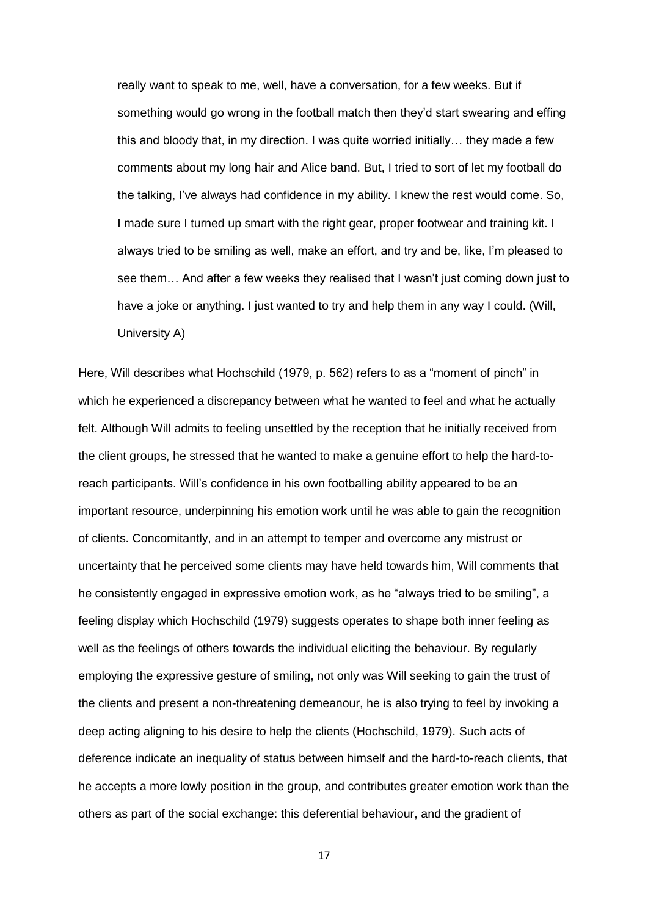really want to speak to me, well, have a conversation, for a few weeks. But if something would go wrong in the football match then they'd start swearing and effing this and bloody that, in my direction. I was quite worried initially… they made a few comments about my long hair and Alice band. But, I tried to sort of let my football do the talking, I've always had confidence in my ability. I knew the rest would come. So, I made sure I turned up smart with the right gear, proper footwear and training kit. I always tried to be smiling as well, make an effort, and try and be, like, I'm pleased to see them… And after a few weeks they realised that I wasn't just coming down just to have a joke or anything. I just wanted to try and help them in any way I could. (Will, University A)

Here, Will describes what Hochschild (1979, p. 562) refers to as a "moment of pinch" in which he experienced a discrepancy between what he wanted to feel and what he actually felt. Although Will admits to feeling unsettled by the reception that he initially received from the client groups, he stressed that he wanted to make a genuine effort to help the hard-toreach participants. Will's confidence in his own footballing ability appeared to be an important resource, underpinning his emotion work until he was able to gain the recognition of clients. Concomitantly, and in an attempt to temper and overcome any mistrust or uncertainty that he perceived some clients may have held towards him, Will comments that he consistently engaged in expressive emotion work, as he "always tried to be smiling", a feeling display which Hochschild (1979) suggests operates to shape both inner feeling as well as the feelings of others towards the individual eliciting the behaviour. By regularly employing the expressive gesture of smiling, not only was Will seeking to gain the trust of the clients and present a non-threatening demeanour, he is also trying to feel by invoking a deep acting aligning to his desire to help the clients (Hochschild, 1979). Such acts of deference indicate an inequality of status between himself and the hard-to-reach clients, that he accepts a more lowly position in the group, and contributes greater emotion work than the others as part of the social exchange: this deferential behaviour, and the gradient of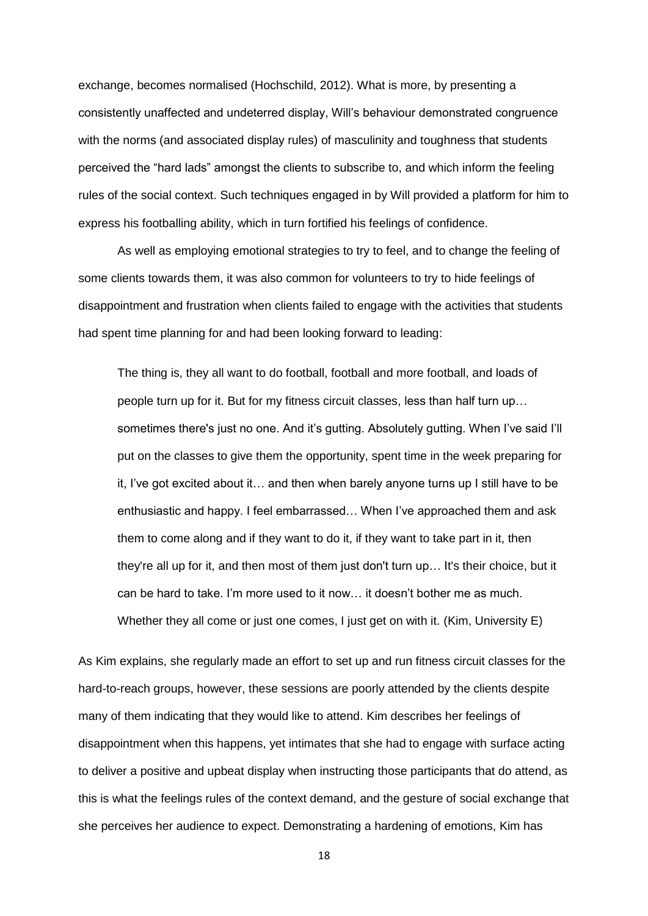exchange, becomes normalised (Hochschild, 2012). What is more, by presenting a consistently unaffected and undeterred display, Will's behaviour demonstrated congruence with the norms (and associated display rules) of masculinity and toughness that students perceived the "hard lads" amongst the clients to subscribe to, and which inform the feeling rules of the social context. Such techniques engaged in by Will provided a platform for him to express his footballing ability, which in turn fortified his feelings of confidence.

As well as employing emotional strategies to try to feel, and to change the feeling of some clients towards them, it was also common for volunteers to try to hide feelings of disappointment and frustration when clients failed to engage with the activities that students had spent time planning for and had been looking forward to leading:

The thing is, they all want to do football, football and more football, and loads of people turn up for it. But for my fitness circuit classes, less than half turn up… sometimes there's just no one. And it's gutting. Absolutely gutting. When I've said I'll put on the classes to give them the opportunity, spent time in the week preparing for it, I've got excited about it… and then when barely anyone turns up I still have to be enthusiastic and happy. I feel embarrassed… When I've approached them and ask them to come along and if they want to do it, if they want to take part in it, then they're all up for it, and then most of them just don't turn up… It's their choice, but it can be hard to take. I'm more used to it now… it doesn't bother me as much. Whether they all come or just one comes, I just get on with it. (Kim, University E)

As Kim explains, she regularly made an effort to set up and run fitness circuit classes for the hard-to-reach groups, however, these sessions are poorly attended by the clients despite many of them indicating that they would like to attend. Kim describes her feelings of disappointment when this happens, yet intimates that she had to engage with surface acting to deliver a positive and upbeat display when instructing those participants that do attend, as this is what the feelings rules of the context demand, and the gesture of social exchange that she perceives her audience to expect. Demonstrating a hardening of emotions, Kim has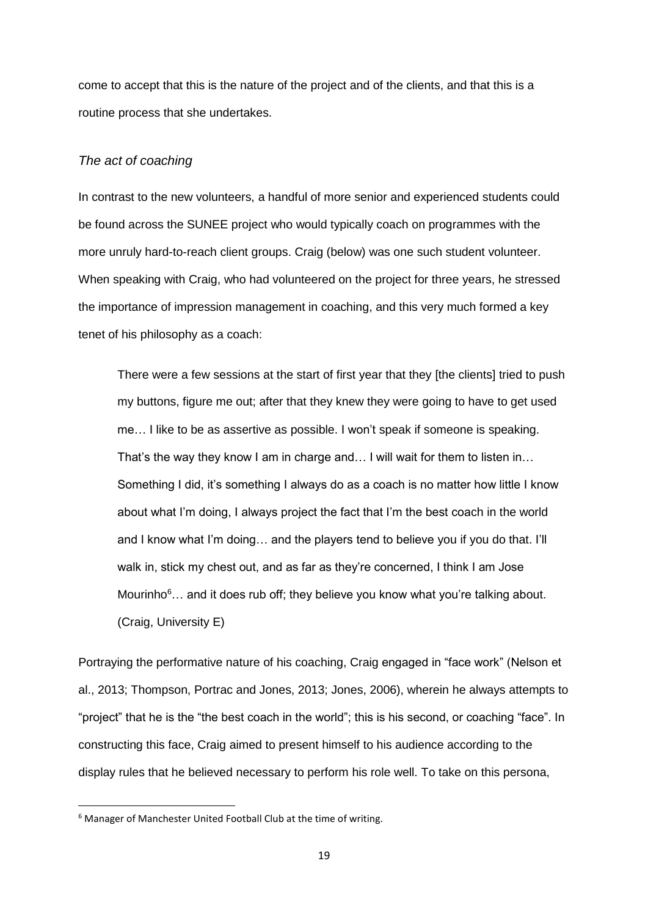come to accept that this is the nature of the project and of the clients, and that this is a routine process that she undertakes.

# *The act of coaching*

In contrast to the new volunteers, a handful of more senior and experienced students could be found across the SUNEE project who would typically coach on programmes with the more unruly hard-to-reach client groups. Craig (below) was one such student volunteer. When speaking with Craig, who had volunteered on the project for three years, he stressed the importance of impression management in coaching, and this very much formed a key tenet of his philosophy as a coach:

There were a few sessions at the start of first year that they [the clients] tried to push my buttons, figure me out; after that they knew they were going to have to get used me… I like to be as assertive as possible. I won't speak if someone is speaking. That's the way they know I am in charge and… I will wait for them to listen in… Something I did, it's something I always do as a coach is no matter how little I know about what I'm doing, I always project the fact that I'm the best coach in the world and I know what I'm doing… and the players tend to believe you if you do that. I'll walk in, stick my chest out, and as far as they're concerned, I think I am Jose Mourinho<sup>6</sup>... and it does rub off; they believe you know what you're talking about. (Craig, University E)

Portraying the performative nature of his coaching, Craig engaged in "face work" (Nelson et al., 2013; Thompson, Portrac and Jones, 2013; Jones, 2006), wherein he always attempts to "project" that he is the "the best coach in the world"; this is his second, or coaching "face". In constructing this face, Craig aimed to present himself to his audience according to the display rules that he believed necessary to perform his role well. To take on this persona,

**.** 

<sup>6</sup> Manager of Manchester United Football Club at the time of writing.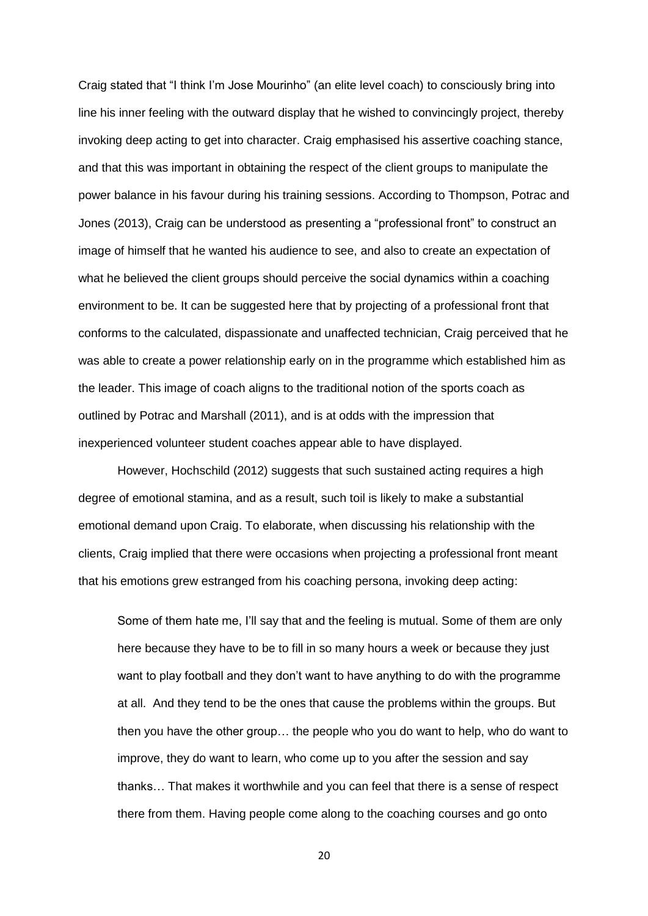Craig stated that "I think I'm Jose Mourinho" (an elite level coach) to consciously bring into line his inner feeling with the outward display that he wished to convincingly project, thereby invoking deep acting to get into character. Craig emphasised his assertive coaching stance, and that this was important in obtaining the respect of the client groups to manipulate the power balance in his favour during his training sessions. According to Thompson, Potrac and Jones (2013), Craig can be understood as presenting a "professional front" to construct an image of himself that he wanted his audience to see, and also to create an expectation of what he believed the client groups should perceive the social dynamics within a coaching environment to be. It can be suggested here that by projecting of a professional front that conforms to the calculated, dispassionate and unaffected technician, Craig perceived that he was able to create a power relationship early on in the programme which established him as the leader. This image of coach aligns to the traditional notion of the sports coach as outlined by Potrac and Marshall (2011), and is at odds with the impression that inexperienced volunteer student coaches appear able to have displayed.

However, Hochschild (2012) suggests that such sustained acting requires a high degree of emotional stamina, and as a result, such toil is likely to make a substantial emotional demand upon Craig. To elaborate, when discussing his relationship with the clients, Craig implied that there were occasions when projecting a professional front meant that his emotions grew estranged from his coaching persona, invoking deep acting:

Some of them hate me, I'll say that and the feeling is mutual. Some of them are only here because they have to be to fill in so many hours a week or because they just want to play football and they don't want to have anything to do with the programme at all. And they tend to be the ones that cause the problems within the groups. But then you have the other group… the people who you do want to help, who do want to improve, they do want to learn, who come up to you after the session and say thanks… That makes it worthwhile and you can feel that there is a sense of respect there from them. Having people come along to the coaching courses and go onto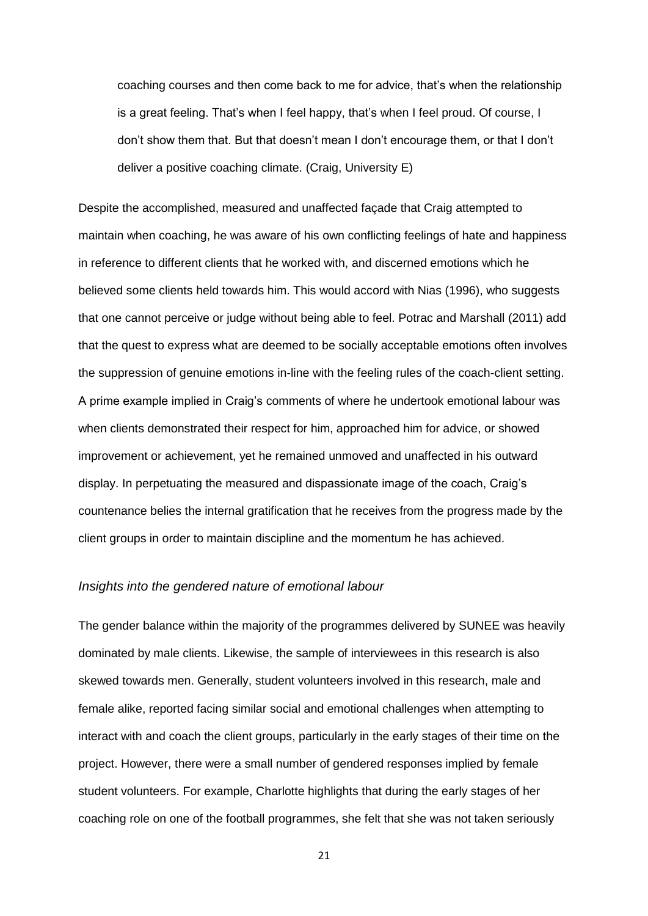coaching courses and then come back to me for advice, that's when the relationship is a great feeling. That's when I feel happy, that's when I feel proud. Of course, I don't show them that. But that doesn't mean I don't encourage them, or that I don't deliver a positive coaching climate. (Craig, University E)

Despite the accomplished, measured and unaffected façade that Craig attempted to maintain when coaching, he was aware of his own conflicting feelings of hate and happiness in reference to different clients that he worked with, and discerned emotions which he believed some clients held towards him. This would accord with Nias (1996), who suggests that one cannot perceive or judge without being able to feel. Potrac and Marshall (2011) add that the quest to express what are deemed to be socially acceptable emotions often involves the suppression of genuine emotions in-line with the feeling rules of the coach-client setting. A prime example implied in Craig's comments of where he undertook emotional labour was when clients demonstrated their respect for him, approached him for advice, or showed improvement or achievement, yet he remained unmoved and unaffected in his outward display. In perpetuating the measured and dispassionate image of the coach, Craig's countenance belies the internal gratification that he receives from the progress made by the client groups in order to maintain discipline and the momentum he has achieved.

#### *Insights into the gendered nature of emotional labour*

The gender balance within the majority of the programmes delivered by SUNEE was heavily dominated by male clients. Likewise, the sample of interviewees in this research is also skewed towards men. Generally, student volunteers involved in this research, male and female alike, reported facing similar social and emotional challenges when attempting to interact with and coach the client groups, particularly in the early stages of their time on the project. However, there were a small number of gendered responses implied by female student volunteers. For example, Charlotte highlights that during the early stages of her coaching role on one of the football programmes, she felt that she was not taken seriously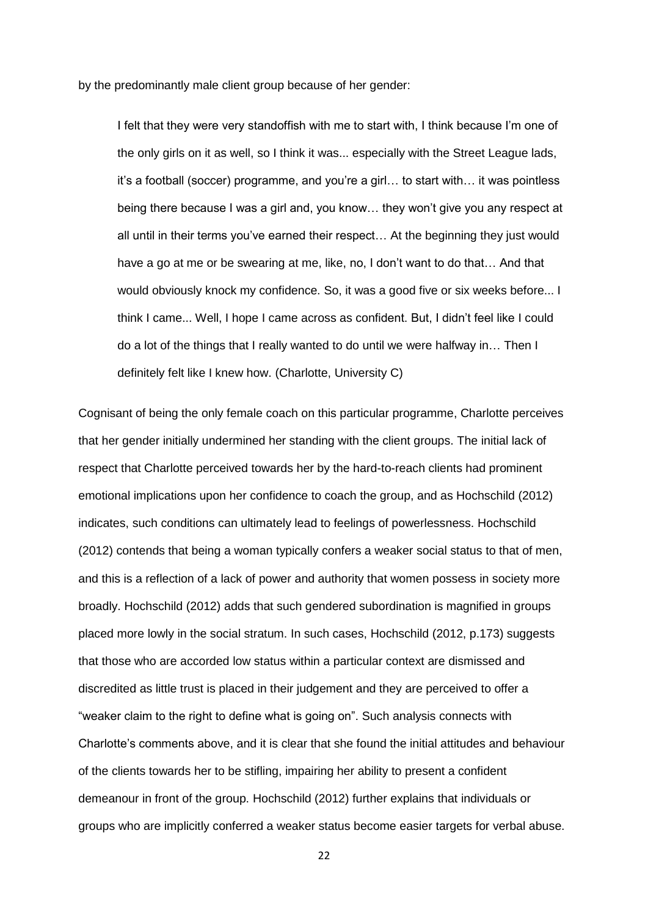by the predominantly male client group because of her gender:

I felt that they were very standoffish with me to start with, I think because I'm one of the only girls on it as well, so I think it was... especially with the Street League lads, it's a football (soccer) programme, and you're a girl… to start with… it was pointless being there because I was a girl and, you know… they won't give you any respect at all until in their terms you've earned their respect… At the beginning they just would have a go at me or be swearing at me, like, no, I don't want to do that… And that would obviously knock my confidence. So, it was a good five or six weeks before... I think I came... Well, I hope I came across as confident. But, I didn't feel like I could do a lot of the things that I really wanted to do until we were halfway in… Then I definitely felt like I knew how. (Charlotte, University C)

Cognisant of being the only female coach on this particular programme, Charlotte perceives that her gender initially undermined her standing with the client groups. The initial lack of respect that Charlotte perceived towards her by the hard-to-reach clients had prominent emotional implications upon her confidence to coach the group, and as Hochschild (2012) indicates, such conditions can ultimately lead to feelings of powerlessness. Hochschild (2012) contends that being a woman typically confers a weaker social status to that of men, and this is a reflection of a lack of power and authority that women possess in society more broadly. Hochschild (2012) adds that such gendered subordination is magnified in groups placed more lowly in the social stratum. In such cases, Hochschild (2012, p.173) suggests that those who are accorded low status within a particular context are dismissed and discredited as little trust is placed in their judgement and they are perceived to offer a "weaker claim to the right to define what is going on". Such analysis connects with Charlotte's comments above, and it is clear that she found the initial attitudes and behaviour of the clients towards her to be stifling, impairing her ability to present a confident demeanour in front of the group. Hochschild (2012) further explains that individuals or groups who are implicitly conferred a weaker status become easier targets for verbal abuse.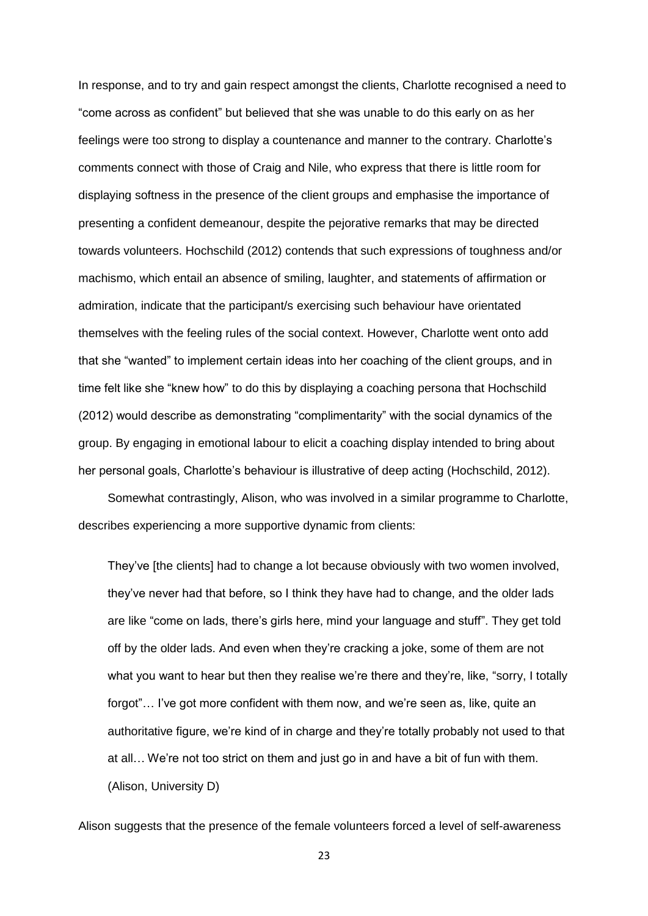In response, and to try and gain respect amongst the clients, Charlotte recognised a need to "come across as confident" but believed that she was unable to do this early on as her feelings were too strong to display a countenance and manner to the contrary. Charlotte's comments connect with those of Craig and Nile, who express that there is little room for displaying softness in the presence of the client groups and emphasise the importance of presenting a confident demeanour, despite the pejorative remarks that may be directed towards volunteers. Hochschild (2012) contends that such expressions of toughness and/or machismo, which entail an absence of smiling, laughter, and statements of affirmation or admiration, indicate that the participant/s exercising such behaviour have orientated themselves with the feeling rules of the social context. However, Charlotte went onto add that she "wanted" to implement certain ideas into her coaching of the client groups, and in time felt like she "knew how" to do this by displaying a coaching persona that Hochschild (2012) would describe as demonstrating "complimentarity" with the social dynamics of the group. By engaging in emotional labour to elicit a coaching display intended to bring about her personal goals, Charlotte's behaviour is illustrative of deep acting (Hochschild, 2012).

Somewhat contrastingly, Alison, who was involved in a similar programme to Charlotte, describes experiencing a more supportive dynamic from clients:

They've [the clients] had to change a lot because obviously with two women involved, they've never had that before, so I think they have had to change, and the older lads are like "come on lads, there's girls here, mind your language and stuff". They get told off by the older lads. And even when they're cracking a joke, some of them are not what you want to hear but then they realise we're there and they're, like, "sorry, I totally forgot"… I've got more confident with them now, and we're seen as, like, quite an authoritative figure, we're kind of in charge and they're totally probably not used to that at all… We're not too strict on them and just go in and have a bit of fun with them. (Alison, University D)

Alison suggests that the presence of the female volunteers forced a level of self-awareness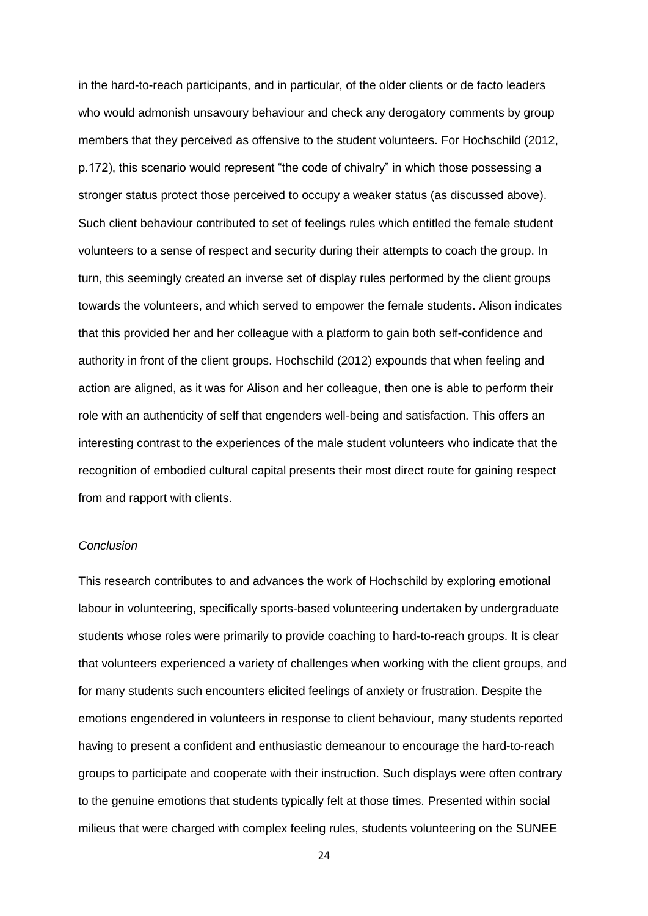in the hard-to-reach participants, and in particular, of the older clients or de facto leaders who would admonish unsavoury behaviour and check any derogatory comments by group members that they perceived as offensive to the student volunteers. For Hochschild (2012, p.172), this scenario would represent "the code of chivalry" in which those possessing a stronger status protect those perceived to occupy a weaker status (as discussed above). Such client behaviour contributed to set of feelings rules which entitled the female student volunteers to a sense of respect and security during their attempts to coach the group. In turn, this seemingly created an inverse set of display rules performed by the client groups towards the volunteers, and which served to empower the female students. Alison indicates that this provided her and her colleague with a platform to gain both self-confidence and authority in front of the client groups. Hochschild (2012) expounds that when feeling and action are aligned, as it was for Alison and her colleague, then one is able to perform their role with an authenticity of self that engenders well-being and satisfaction. This offers an interesting contrast to the experiences of the male student volunteers who indicate that the recognition of embodied cultural capital presents their most direct route for gaining respect from and rapport with clients.

# *Conclusion*

This research contributes to and advances the work of Hochschild by exploring emotional labour in volunteering, specifically sports-based volunteering undertaken by undergraduate students whose roles were primarily to provide coaching to hard-to-reach groups. It is clear that volunteers experienced a variety of challenges when working with the client groups, and for many students such encounters elicited feelings of anxiety or frustration. Despite the emotions engendered in volunteers in response to client behaviour, many students reported having to present a confident and enthusiastic demeanour to encourage the hard-to-reach groups to participate and cooperate with their instruction. Such displays were often contrary to the genuine emotions that students typically felt at those times. Presented within social milieus that were charged with complex feeling rules, students volunteering on the SUNEE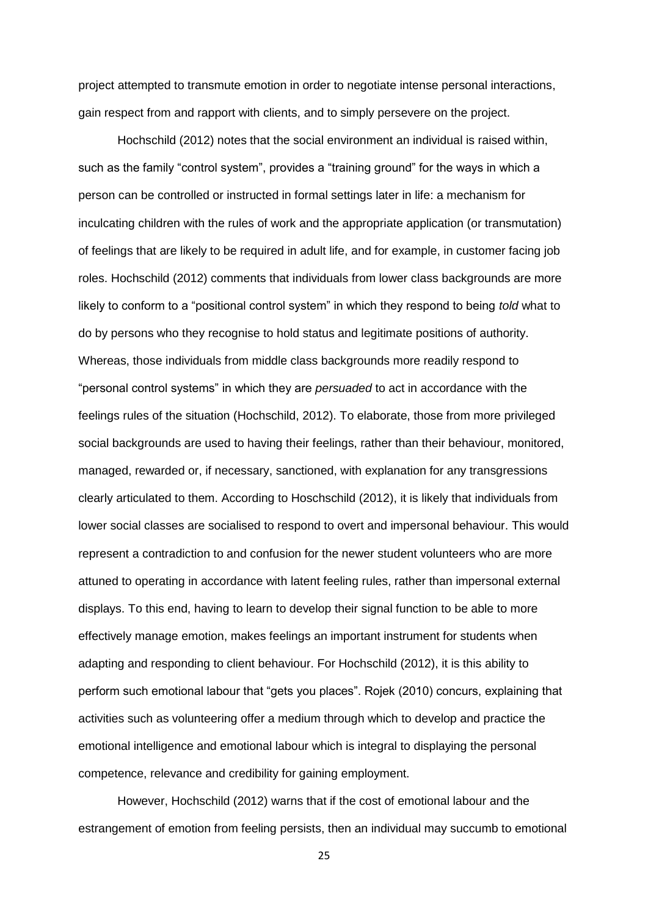project attempted to transmute emotion in order to negotiate intense personal interactions, gain respect from and rapport with clients, and to simply persevere on the project.

Hochschild (2012) notes that the social environment an individual is raised within, such as the family "control system", provides a "training ground" for the ways in which a person can be controlled or instructed in formal settings later in life: a mechanism for inculcating children with the rules of work and the appropriate application (or transmutation) of feelings that are likely to be required in adult life, and for example, in customer facing job roles. Hochschild (2012) comments that individuals from lower class backgrounds are more likely to conform to a "positional control system" in which they respond to being *told* what to do by persons who they recognise to hold status and legitimate positions of authority. Whereas, those individuals from middle class backgrounds more readily respond to "personal control systems" in which they are *persuaded* to act in accordance with the feelings rules of the situation (Hochschild, 2012). To elaborate, those from more privileged social backgrounds are used to having their feelings, rather than their behaviour, monitored, managed, rewarded or, if necessary, sanctioned, with explanation for any transgressions clearly articulated to them. According to Hoschschild (2012), it is likely that individuals from lower social classes are socialised to respond to overt and impersonal behaviour. This would represent a contradiction to and confusion for the newer student volunteers who are more attuned to operating in accordance with latent feeling rules, rather than impersonal external displays. To this end, having to learn to develop their signal function to be able to more effectively manage emotion, makes feelings an important instrument for students when adapting and responding to client behaviour. For Hochschild (2012), it is this ability to perform such emotional labour that "gets you places". Rojek (2010) concurs, explaining that activities such as volunteering offer a medium through which to develop and practice the emotional intelligence and emotional labour which is integral to displaying the personal competence, relevance and credibility for gaining employment.

However, Hochschild (2012) warns that if the cost of emotional labour and the estrangement of emotion from feeling persists, then an individual may succumb to emotional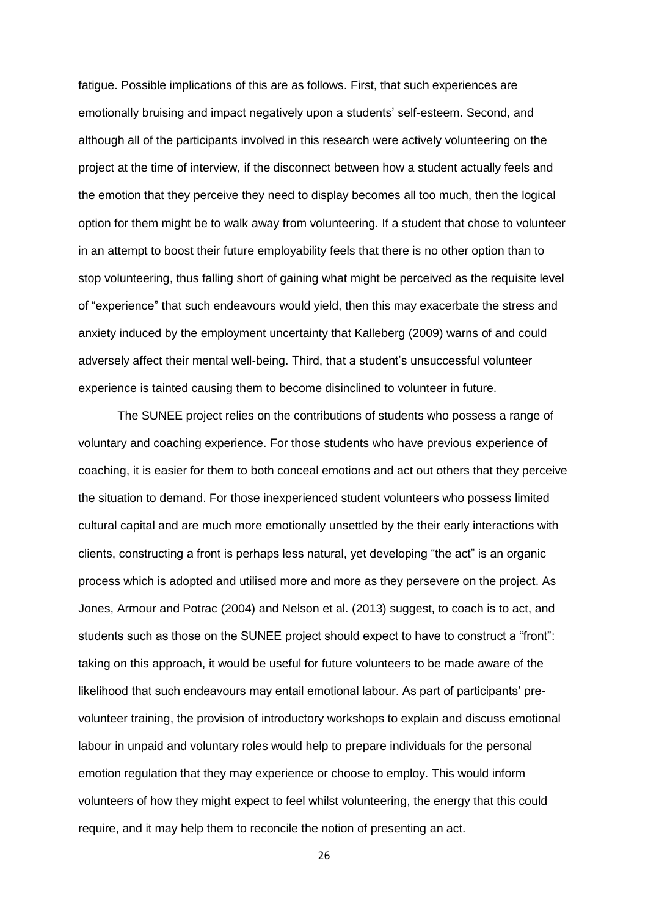fatigue. Possible implications of this are as follows. First, that such experiences are emotionally bruising and impact negatively upon a students' self-esteem. Second, and although all of the participants involved in this research were actively volunteering on the project at the time of interview, if the disconnect between how a student actually feels and the emotion that they perceive they need to display becomes all too much, then the logical option for them might be to walk away from volunteering. If a student that chose to volunteer in an attempt to boost their future employability feels that there is no other option than to stop volunteering, thus falling short of gaining what might be perceived as the requisite level of "experience" that such endeavours would yield, then this may exacerbate the stress and anxiety induced by the employment uncertainty that Kalleberg (2009) warns of and could adversely affect their mental well-being. Third, that a student's unsuccessful volunteer experience is tainted causing them to become disinclined to volunteer in future.

The SUNEE project relies on the contributions of students who possess a range of voluntary and coaching experience. For those students who have previous experience of coaching, it is easier for them to both conceal emotions and act out others that they perceive the situation to demand. For those inexperienced student volunteers who possess limited cultural capital and are much more emotionally unsettled by the their early interactions with clients, constructing a front is perhaps less natural, yet developing "the act" is an organic process which is adopted and utilised more and more as they persevere on the project. As Jones, Armour and Potrac (2004) and Nelson et al. (2013) suggest, to coach is to act, and students such as those on the SUNEE project should expect to have to construct a "front": taking on this approach, it would be useful for future volunteers to be made aware of the likelihood that such endeavours may entail emotional labour. As part of participants' prevolunteer training, the provision of introductory workshops to explain and discuss emotional labour in unpaid and voluntary roles would help to prepare individuals for the personal emotion regulation that they may experience or choose to employ. This would inform volunteers of how they might expect to feel whilst volunteering, the energy that this could require, and it may help them to reconcile the notion of presenting an act.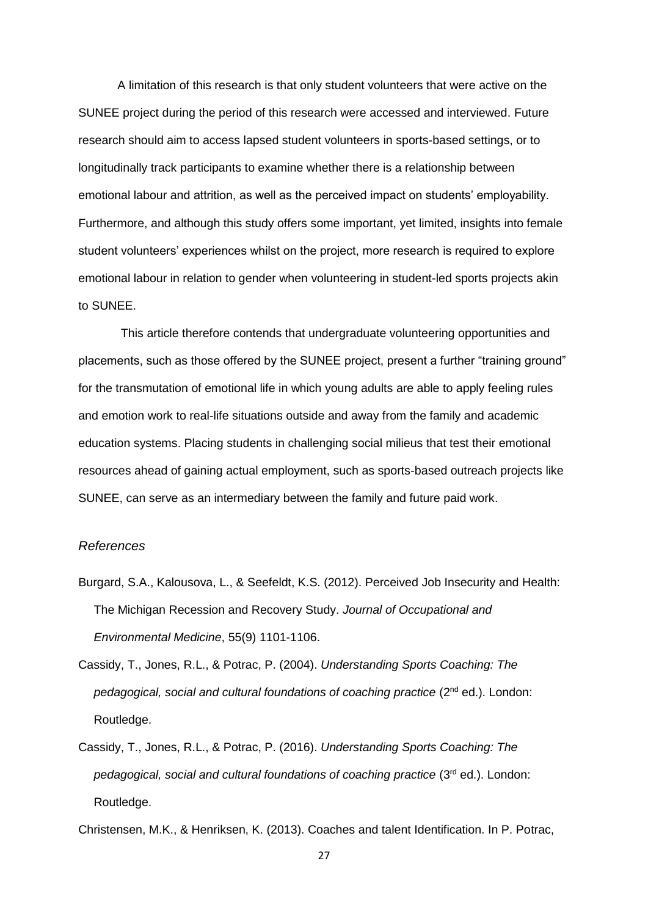A limitation of this research is that only student volunteers that were active on the SUNEE project during the period of this research were accessed and interviewed. Future research should aim to access lapsed student volunteers in sports-based settings, or to longitudinally track participants to examine whether there is a relationship between emotional labour and attrition, as well as the perceived impact on students' employability. Furthermore, and although this study offers some important, yet limited, insights into female student volunteers' experiences whilst on the project, more research is required to explore emotional labour in relation to gender when volunteering in student-led sports projects akin to SUNEE.

This article therefore contends that undergraduate volunteering opportunities and placements, such as those offered by the SUNEE project, present a further "training ground" for the transmutation of emotional life in which young adults are able to apply feeling rules and emotion work to real-life situations outside and away from the family and academic education systems. Placing students in challenging social milieus that test their emotional resources ahead of gaining actual employment, such as sports-based outreach projects like SUNEE, can serve as an intermediary between the family and future paid work.

#### *References*

- Burgard, S.A., Kalousova, L., & Seefeldt, K.S. (2012). Perceived Job Insecurity and Health: The Michigan Recession and Recovery Study. *Journal of Occupational and Environmental Medicine*, 55(9) 1101-1106.
- Cassidy, T., Jones, R.L., & Potrac, P. (2004). *Understanding Sports Coaching: The pedagogical, social and cultural foundations of coaching practice* (2nd ed.). London: Routledge.
- Cassidy, T., Jones, R.L., & Potrac, P. (2016). *Understanding Sports Coaching: The pedagogical, social and cultural foundations of coaching practice* (3rd ed.). London: Routledge.

Christensen, M.K., & Henriksen, K. (2013). Coaches and talent Identification. In P. Potrac,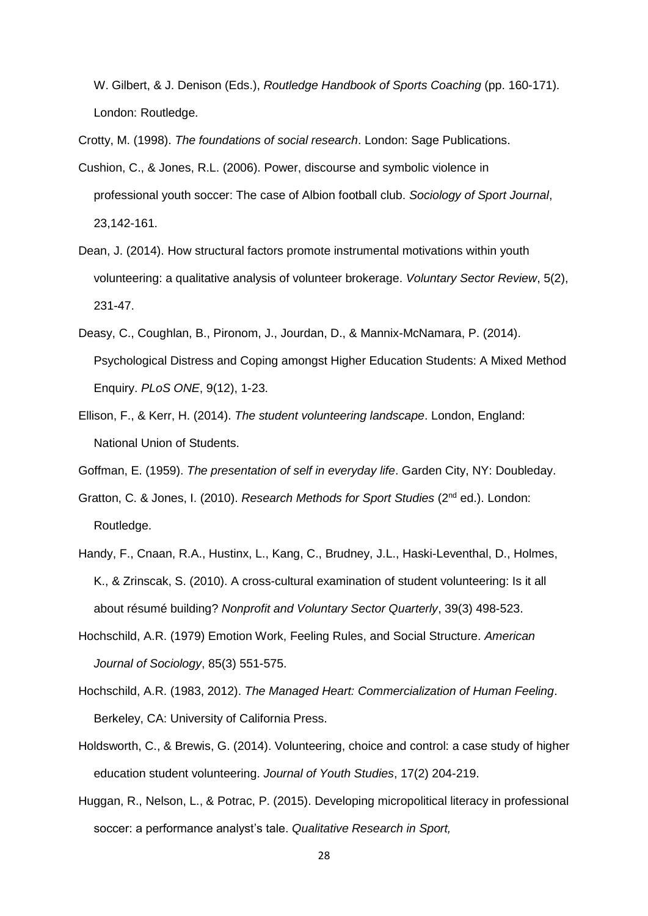W. Gilbert, & J. Denison (Eds.), *Routledge Handbook of Sports Coaching* (pp. 160-171). London: Routledge.

Crotty, M. (1998). *The foundations of social research*. London: Sage Publications.

- Cushion, C., & Jones, R.L. (2006). Power, discourse and symbolic violence in professional youth soccer: The case of Albion football club. *Sociology of Sport Journal*, 23,142-161.
- Dean, J. (2014). How structural factors promote instrumental motivations within youth volunteering: a qualitative analysis of volunteer brokerage. *Voluntary Sector Review*, 5(2), 231-47.
- Deasy, C., Coughlan, B., Pironom, J., Jourdan, D., & Mannix-McNamara, P. (2014). Psychological Distress and Coping amongst Higher Education Students: A Mixed Method Enquiry. *PLoS ONE*, 9(12), 1-23.
- Ellison, F., & Kerr, H. (2014). *The student volunteering landscape*. London, England: National Union of Students.
- Goffman, E. (1959). *The presentation of self in everyday life*. Garden City, NY: Doubleday.
- Gratton, C. & Jones, I. (2010). *Research Methods for Sport Studies* (2nd ed.). London: Routledge.
- Handy, F., Cnaan, R.A., Hustinx, L., Kang, C., Brudney, J.L., Haski-Leventhal, D., Holmes, K., & Zrinscak, S. (2010). A cross-cultural examination of student volunteering: Is it all about résumé building? *Nonprofit and Voluntary Sector Quarterly*, 39(3) 498-523.
- Hochschild, A.R. (1979) Emotion Work, Feeling Rules, and Social Structure. *American Journal of Sociology*, 85(3) 551-575.
- Hochschild, A.R. (1983, 2012). *The Managed Heart: Commercialization of Human Feeling*. Berkeley, CA: University of California Press.
- Holdsworth, C., & Brewis, G. (2014). Volunteering, choice and control: a case study of higher education student volunteering. *Journal of Youth Studies*, 17(2) 204-219.
- Huggan, R., Nelson, L., & Potrac, P. (2015). Developing micropolitical literacy in professional soccer: a performance analyst's tale. *Qualitative Research in Sport,*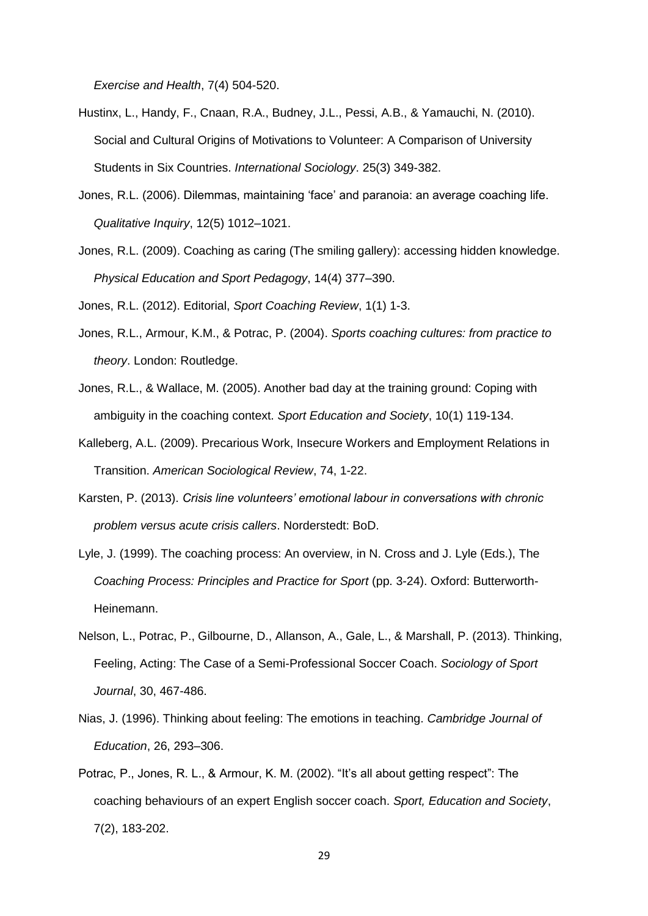*Exercise and Health*, 7(4) 504-520.

- Hustinx, L., Handy, F., Cnaan, R.A., Budney, J.L., Pessi, A.B., & Yamauchi, N. (2010). Social and Cultural Origins of Motivations to Volunteer: A Comparison of University Students in Six Countries. *International Sociology*. 25(3) 349-382.
- Jones, R.L. (2006). Dilemmas, maintaining 'face' and paranoia: an average coaching life. *Qualitative Inquiry*, 12(5) 1012–1021.
- Jones, R.L. (2009). Coaching as caring (The smiling gallery): accessing hidden knowledge. *Physical Education and Sport Pedagogy*, 14(4) 377–390.

Jones, R.L. (2012). Editorial, *Sport Coaching Review*, 1(1) 1-3.

- Jones, R.L., Armour, K.M., & Potrac, P. (2004). *Sports coaching cultures: from practice to theory*. London: Routledge.
- Jones, R.L., & Wallace, M. (2005). Another bad day at the training ground: Coping with ambiguity in the coaching context. *Sport Education and Society*, 10(1) 119-134.
- Kalleberg, A.L. (2009). Precarious Work, Insecure Workers and Employment Relations in Transition. *American Sociological Review*, 74, 1-22.
- Karsten, P. (2013). *Crisis line volunteers' emotional labour in conversations with chronic problem versus acute crisis callers*. Norderstedt: BoD.
- Lyle, J. (1999). The coaching process: An overview, in N. Cross and J. Lyle (Eds.), The *Coaching Process: Principles and Practice for Sport* (pp. 3-24). Oxford: Butterworth-Heinemann.
- Nelson, L., Potrac, P., Gilbourne, D., Allanson, A., Gale, L., & Marshall, P. (2013). Thinking, Feeling, Acting: The Case of a Semi-Professional Soccer Coach. *Sociology of Sport Journal*, 30, 467-486.
- Nias, J. (1996). Thinking about feeling: The emotions in teaching. *Cambridge Journal of Education*, 26, 293–306.
- Potrac, P., Jones, R. L., & Armour, K. M. (2002). "It's all about getting respect": The coaching behaviours of an expert English soccer coach. *Sport, Education and Society*, 7(2), 183-202.